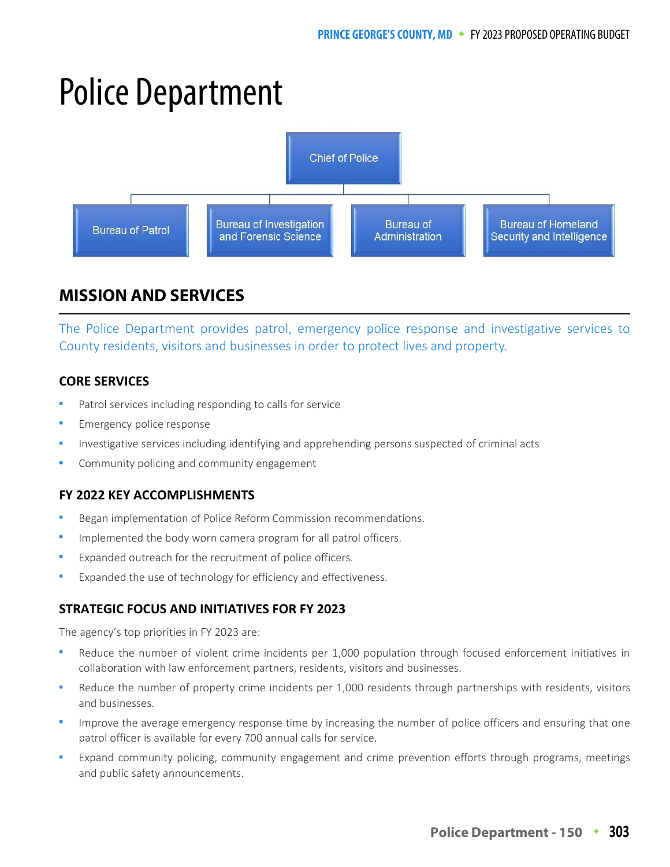# Police Department



# **MISSION AND SERVICES**

The Police Department provides patrol, emergency police response and investigative services to County residents, visitors and businesses in order to protect lives and property.

# **CORE SERVICES**

- Patrol services including responding to calls for service
- Emergency police response
- Investigative services including identifying and apprehending persons suspected of criminal acts
- Community policing and community engagement

# **FY 2022 KEY ACCOMPLISHMENTS**

- Began implementation of Police Reform Commission recommendations.
- Implemented the body worn camera program for all patrol officers.
- Expanded outreach for the recruitment of police officers.
- Expanded the use of technology for efficiency and effectiveness.

# **STRATEGIC FOCUS AND INITIATIVES FOR FY 2023**

The agency's top priorities in FY 2023 are:

- Reduce the number of violent crime incidents per 1,000 population through focused enforcement initiatives in collaboration with law enforcement partners, residents, visitors and businesses.
- Reduce the number of property crime incidents per 1,000 residents through partnerships with residents, visitors and businesses.
- Improve the average emergency response time by increasing the number of police officers and ensuring that one patrol officer is available for every 700 annual calls for service.
- Expand community policing, community engagement and crime prevention efforts through programs, meetings and public safety announcements.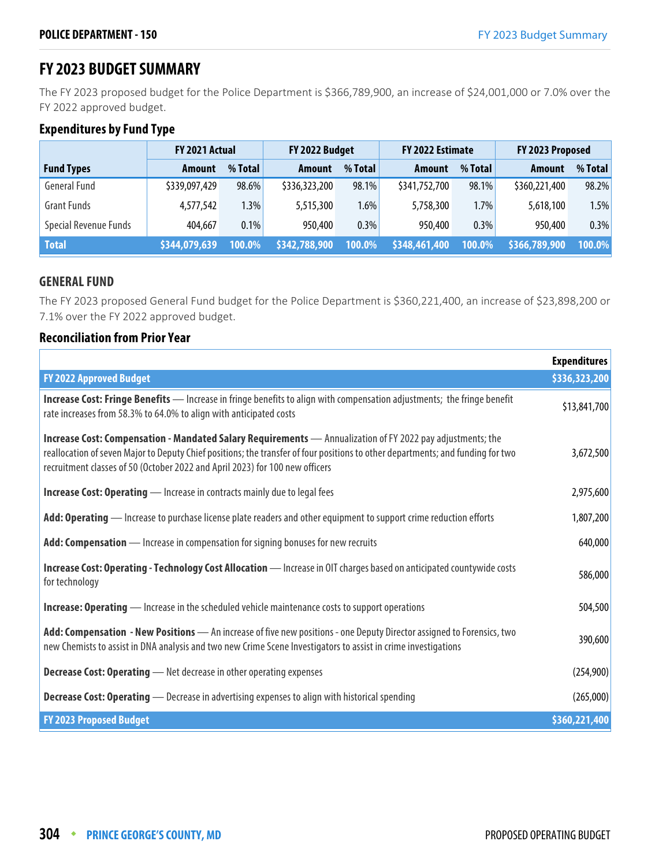# **FY 2023 BUDGET SUMMARY**

The FY 2023 proposed budget for the Police Department is \$366,789,900, an increase of \$24,001,000 or 7.0% over the FY 2022 approved budget.

# **Expenditures by Fund Type**

|                              | FY 2021 Actual |         | FY 2022 Budget |         | FY 2022 Estimate |         | FY 2023 Proposed |         |
|------------------------------|----------------|---------|----------------|---------|------------------|---------|------------------|---------|
| <b>Fund Types</b>            | Amount         | % Total | <b>Amount</b>  | % Total | <b>Amount</b>    | % Total | Amount           | % Total |
| <b>General Fund</b>          | \$339,097,429  | 98.6%   | \$336,323,200  | 98.1%   | \$341,752,700    | 98.1%   | \$360,221,400    | 98.2%   |
| <b>Grant Funds</b>           | 4,577,542      | 1.3%    | 5,515,300      | 1.6%    | 5,758,300        | 1.7%    | 5,618,100        | 1.5%    |
| <b>Special Revenue Funds</b> | 404,667        | 0.1%    | 950,400        | 0.3%    | 950,400          | 0.3%    | 950,400          | 0.3%    |
| <b>Total</b>                 | \$344,079,639  | 100.0%  | \$342,788,900  | 100.0%  | \$348,461,400    | 100.0%  | \$366,789,900    | 100.0%  |

### **GENERAL FUND**

The FY 2023 proposed General Fund budget for the Police Department is \$360,221,400, an increase of \$23,898,200 or 7.1% over the FY 2022 approved budget.

### **Reconciliation from Prior Year**

|                                                                                                                                                                                                                                                                                                                               | <b>Expenditures</b> |
|-------------------------------------------------------------------------------------------------------------------------------------------------------------------------------------------------------------------------------------------------------------------------------------------------------------------------------|---------------------|
| <b>FY 2022 Approved Budget</b>                                                                                                                                                                                                                                                                                                | \$336,323,200       |
| <b>Increase Cost: Fringe Benefits</b> — Increase in fringe benefits to align with compensation adjustments; the fringe benefit<br>rate increases from 58.3% to 64.0% to align with anticipated costs                                                                                                                          | \$13,841,700        |
| Increase Cost: Compensation - Mandated Salary Requirements - Annualization of FY 2022 pay adjustments; the<br>reallocation of seven Major to Deputy Chief positions; the transfer of four positions to other departments; and funding for two<br>recruitment classes of 50 (October 2022 and April 2023) for 100 new officers | 3,672,500           |
| <b>Increase Cost: Operating</b> - Increase in contracts mainly due to legal fees                                                                                                                                                                                                                                              | 2,975,600           |
| Add: Operating — Increase to purchase license plate readers and other equipment to support crime reduction efforts                                                                                                                                                                                                            | 1,807,200           |
| Add: Compensation - Increase in compensation for signing bonuses for new recruits                                                                                                                                                                                                                                             | 640,000             |
| Increase Cost: Operating - Technology Cost Allocation - Increase in OIT charges based on anticipated countywide costs<br>for technology                                                                                                                                                                                       | 586,000             |
| <b>Increase: Operating</b> — Increase in the scheduled vehicle maintenance costs to support operations                                                                                                                                                                                                                        | 504,500             |
| Add: Compensation - New Positions - An increase of five new positions - one Deputy Director assigned to Forensics, two<br>new Chemists to assist in DNA analysis and two new Crime Scene Investigators to assist in crime investigations                                                                                      | 390,600             |
| <b>Decrease Cost: Operating</b> - Net decrease in other operating expenses                                                                                                                                                                                                                                                    | (254,900)           |
| <b>Decrease Cost: Operating</b> - Decrease in advertising expenses to align with historical spending                                                                                                                                                                                                                          | (265,000)           |
| <b>FY 2023 Proposed Budget</b>                                                                                                                                                                                                                                                                                                | \$360,221,400       |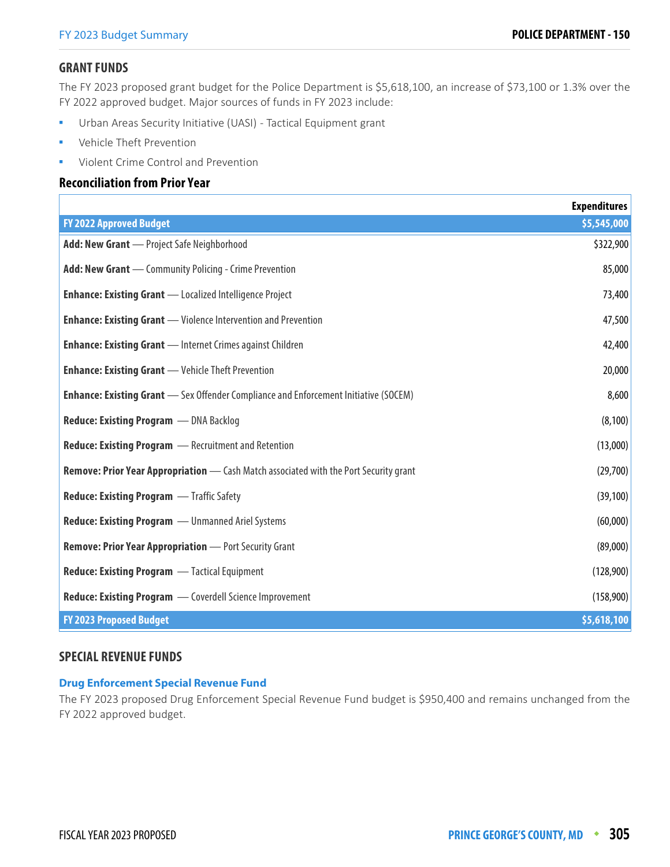### **GRANT FUNDS**

The FY 2023 proposed grant budget for the Police Department is \$5,618,100, an increase of \$73,100 or 1.3% over the FY 2022 approved budget. Major sources of funds in FY 2023 include:

- Urban Areas Security Initiative (UASI) Tactical Equipment grant
- Vehicle Theft Prevention
- Violent Crime Control and Prevention

### **Reconciliation from Prior Year**

|                                                                                              | <b>Expenditures</b> |
|----------------------------------------------------------------------------------------------|---------------------|
| <b>FY 2022 Approved Budget</b>                                                               | \$5,545,000         |
| Add: New Grant - Project Safe Neighborhood                                                   | \$322,900           |
| <b>Add: New Grant</b> - Community Policing - Crime Prevention                                | 85,000              |
| <b>Enhance: Existing Grant</b> - Localized Intelligence Project                              | 73,400              |
| <b>Enhance: Existing Grant</b> — Violence Intervention and Prevention                        | 47,500              |
| <b>Enhance: Existing Grant</b> - Internet Crimes against Children                            | 42,400              |
| <b>Enhance: Existing Grant</b> - Vehicle Theft Prevention                                    | 20,000              |
| <b>Enhance: Existing Grant</b> - Sex Offender Compliance and Enforcement Initiative (SOCEM)  | 8,600               |
| Reduce: Existing Program - DNA Backlog                                                       | (8, 100)            |
| <b>Reduce: Existing Program</b> - Recruitment and Retention                                  | (13,000)            |
| <b>Remove: Prior Year Appropriation</b> — Cash Match associated with the Port Security grant | (29,700)            |
| <b>Reduce: Existing Program - Traffic Safety</b>                                             | (39, 100)           |
| <b>Reduce: Existing Program </b> - Unmanned Ariel Systems                                    | (60,000)            |
| <b>Remove: Prior Year Appropriation</b> - Port Security Grant                                | (89,000)            |
| <b>Reduce: Existing Program - Tactical Equipment</b>                                         | (128,900)           |
| <b>Reduce: Existing Program</b> - Coverdell Science Improvement                              | (158,900)           |
| <b>FY 2023 Proposed Budget</b>                                                               | \$5,618,100         |

### **SPECIAL REVENUE FUNDS**

### **Drug Enforcement Special Revenue Fund**

The FY 2023 proposed Drug Enforcement Special Revenue Fund budget is \$950,400 and remains unchanged from the FY 2022 approved budget.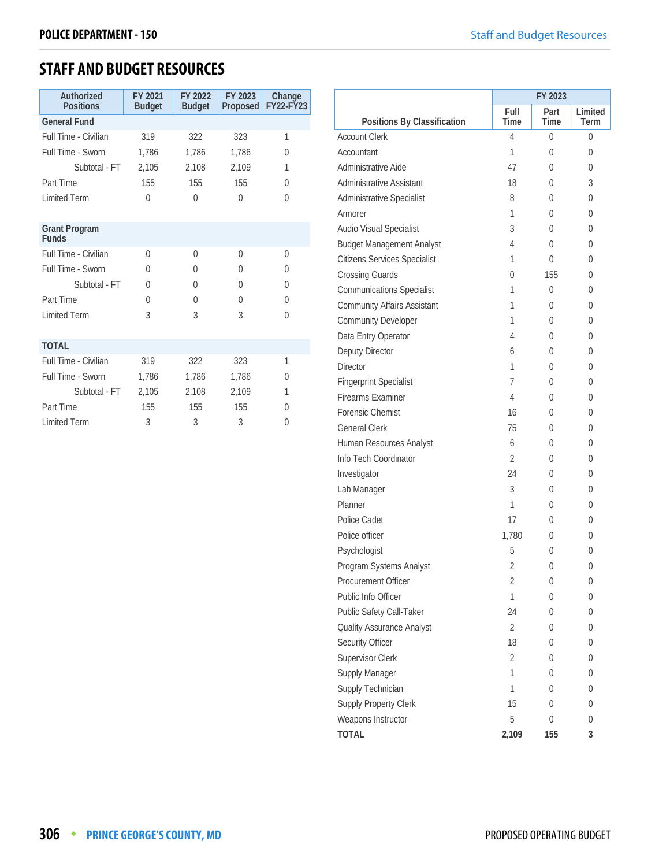# **STAFF AND BUDGET RESOURCES**

| Authorized<br><b>Positions</b>       | FY 2021<br><b>Budget</b> | FY 2022<br><b>Budget</b> | FY 2023<br>Proposed | Change<br><b>FY22-FY23</b> |
|--------------------------------------|--------------------------|--------------------------|---------------------|----------------------------|
| <b>General Fund</b>                  |                          |                          |                     |                            |
| Full Time - Civilian                 | 319                      | 322                      | 323                 | 1                          |
| Full Time - Sworn                    | 1,786                    | 1,786                    | 1,786               | 0                          |
| Subtotal - FT                        | 2,105                    | 2.108                    | 2,109               | 1                          |
| Part Time                            | 155                      | 155                      | 155                 | 0                          |
| <b>Limited Term</b>                  | $\Omega$                 | $\Omega$                 | $\Omega$            | $\Omega$                   |
|                                      |                          |                          |                     |                            |
| <b>Grant Program</b><br><b>Funds</b> |                          |                          |                     |                            |
| Full Time - Civilian                 | $\Omega$                 | $\theta$                 | $\theta$            | $\Omega$                   |
| Full Time - Sworn                    | $\Omega$                 | $\Omega$                 | $\Omega$            | 0                          |
| Subtotal - FT                        | $\Omega$                 | $\Omega$                 | $\Omega$            | 0                          |
| Part Time                            | $\Omega$                 | $\Omega$                 | $\Omega$            | 0                          |
| <b>Limited Term</b>                  | 3                        | 3                        | 3                   | $\Omega$                   |
|                                      |                          |                          |                     |                            |
| <b>TOTAL</b>                         |                          |                          |                     |                            |
| Full Time - Civilian                 | 319                      | 322                      | 323                 | 1                          |
| Full Time - Sworn                    | 1,786                    | 1,786                    | 1,786               | 0                          |
| Subtotal - FT                        | 2,105                    | 2,108                    | 2,109               | 1                          |
| Part Time                            | 155                      | 155                      | 155                 | $\Omega$                   |
| <b>Limited Term</b>                  | 3                        | 3                        | 3                   | 0                          |

|                                     | FY 2023        |      |         |
|-------------------------------------|----------------|------|---------|
|                                     | Full           | Part | Limited |
| Positions By Classification         | Time           | Time | Term    |
| <b>Account Clerk</b>                | 4              | 0    | 0       |
| Accountant                          | 1              | 0    | 0       |
| Administrative Aide                 | 47             | 0    | 0       |
| Administrative Assistant            | 18             | 0    | 3       |
| Administrative Specialist           | 8              | 0    | 0       |
| Armorer                             | 1              | 0    | 0       |
| Audio Visual Specialist             | 3              | 0    | 0       |
| <b>Budget Management Analyst</b>    | 4              | 0    | 0       |
| <b>Citizens Services Specialist</b> | 1              | 0    | 0       |
| <b>Crossing Guards</b>              | 0              | 155  | 0       |
| <b>Communications Specialist</b>    | 1              | 0    | 0       |
| <b>Community Affairs Assistant</b>  | 1              | 0    | 0       |
| <b>Community Developer</b>          | 1              | 0    | 0       |
| Data Entry Operator                 | 4              | 0    | 0       |
| Deputy Director                     | 6              | 0    | 0       |
| <b>Director</b>                     | 1              | 0    | 0       |
| <b>Fingerprint Specialist</b>       | 7              | 0    | 0       |
| <b>Firearms Examiner</b>            | 4              | 0    | 0       |
| Forensic Chemist                    | 16             | 0    | 0       |
| <b>General Clerk</b>                | 75             | 0    | 0       |
| Human Resources Analyst             | 6              | 0    | 0       |
| Info Tech Coordinator               | 2              | 0    | 0       |
| Investigator                        | 24             | 0    | 0       |
| Lab Manager                         | 3              | 0    | 0       |
| Planner                             | 1              | 0    | 0       |
| Police Cadet                        | 17             | 0    | 0       |
| Police officer                      | 1.780          | 0    | 0       |
| Psychologist                        | 5              | 0    | 0       |
| Program Systems Analyst             | 2              | 0    | 0       |
| Procurement Officer                 | 2              | 0    | 0       |
| Public Info Officer                 | 1              | 0    | 0       |
| Public Safety Call-Taker            | 24             | 0    | 0       |
| Quality Assurance Analyst           | $\overline{2}$ | 0    | 0       |
| Security Officer                    | 18             | 0    | 0       |
| Supervisor Clerk                    | 2              | 0    | 0       |
| Supply Manager                      | 1              | 0    | 0       |
| Supply Technician                   | 1              | 0    | 0       |
| Supply Property Clerk               | 15             | 0    | 0       |
| Weapons Instructor                  | 5              | 0    | 0       |
| <b>TOTAL</b>                        | 2,109          | 155  | 3       |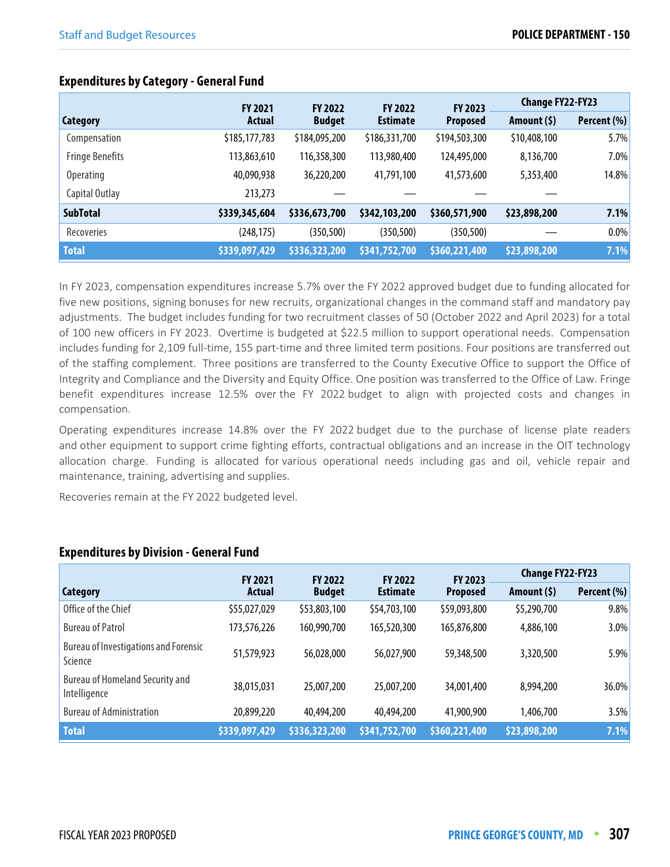|                        | <b>FY 2021</b> | <b>FY 2022</b> | <b>FY 2022</b>  | FY 2023         | <b>Change FY22-FY23</b> |             |
|------------------------|----------------|----------------|-----------------|-----------------|-------------------------|-------------|
| Category               | Actual         | <b>Budget</b>  | <b>Estimate</b> | <b>Proposed</b> | Amount (\$)             | Percent (%) |
| Compensation           | \$185,177,783  | \$184,095,200  | \$186,331,700   | \$194,503,300   | \$10,408,100            | 5.7%        |
| <b>Fringe Benefits</b> | 113,863,610    | 116,358,300    | 113,980,400     | 124,495,000     | 8,136,700               | 7.0%        |
| <b>Operating</b>       | 40,090,938     | 36,220,200     | 41,791,100      | 41,573,600      | 5,353,400               | 14.8%       |
| Capital Outlay         | 213,273        |                |                 |                 |                         |             |
| <b>SubTotal</b>        | \$339,345,604  | \$336,673,700  | \$342,103,200   | \$360,571,900   | \$23,898,200            | 7.1%        |
| Recoveries             | (248,175)      | (350, 500)     | (350, 500)      | (350, 500)      |                         | 0.0%        |
| <b>Total</b>           | \$339,097,429  | \$336,323,200  | \$341,752,700   | \$360,221,400   | \$23,898,200            | 7.1%        |

# **Expenditures by Category - General Fund**

In FY 2023, compensation expenditures increase 5.7% over the FY 2022 approved budget due to funding allocated for five new positions, signing bonuses for new recruits, organizational changes in the command staff and mandatory pay adjustments. The budget includes funding for two recruitment classes of 50 (October 2022 and April 2023) for a total of 100 new officers in FY 2023. Overtime is budgeted at \$22.5 million to support operational needs. Compensation includes funding for 2,109 full-time, 155 part-time and three limited term positions. Four positions are transferred out of the staffing complement. Three positions are transferred to the County Executive Office to support the Office of Integrity and Compliance and the Diversity and Equity Office. One position was transferred to the Office of Law. Fringe benefit expenditures increase 12.5% over the FY 2022 budget to align with projected costs and changes in compensation.

Operating expenditures increase 14.8% over the FY 2022 budget due to the purchase of license plate readers and other equipment to support crime fighting efforts, contractual obligations and an increase in the OIT technology allocation charge. Funding is allocated for various operational needs including gas and oil, vehicle repair and maintenance, training, advertising and supplies.

Recoveries remain at the FY 2022 budgeted level.

|                                                         | <b>FY 2021</b> | <b>FY 2022</b> | <b>FY 2022</b>  | <b>FY 2023</b>  | <b>Change FY22-FY23</b> |             |
|---------------------------------------------------------|----------------|----------------|-----------------|-----------------|-------------------------|-------------|
| <b>Category</b>                                         | <b>Actual</b>  | <b>Budget</b>  | <b>Estimate</b> | <b>Proposed</b> | Amount $(5)$            | Percent (%) |
| Office of the Chief                                     | \$55,027,029   | \$53,803,100   | \$54,703,100    | \$59,093,800    | \$5,290,700             | 9.8%        |
| <b>Bureau of Patrol</b>                                 | 173,576,226    | 160,990,700    | 165,520,300     | 165,876,800     | 4,886,100               | 3.0%        |
| <b>Bureau of Investigations and Forensic</b><br>Science | 51,579,923     | 56,028,000     | 56,027,900      | 59,348,500      | 3,320,500               | 5.9%        |
| <b>Bureau of Homeland Security and</b><br>Intelligence  | 38,015,031     | 25,007,200     | 25,007,200      | 34,001,400      | 8,994,200               | 36.0%       |
| <b>Bureau of Administration</b>                         | 20,899,220     | 40,494,200     | 40,494,200      | 41,900,900      | 1,406,700               | 3.5%        |
| <b>Total</b>                                            | \$339,097,429  | \$336,323,200  | \$341,752,700   | \$360,221,400   | \$23,898,200            | 7.1%        |

# **Expenditures by Division - General Fund**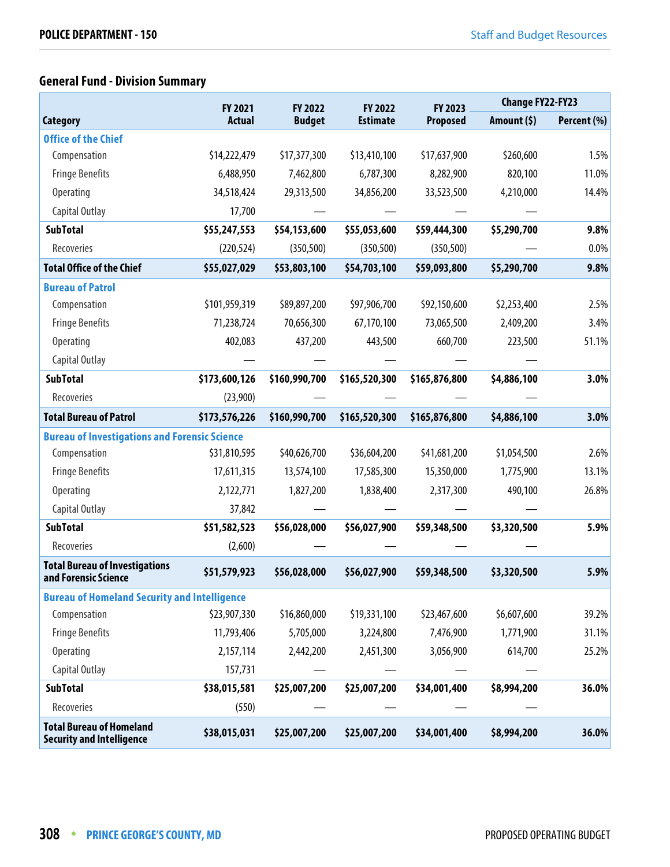# **General Fund - Division Summary**

|                                                                     | <b>FY 2021</b> | FY 2022       | <b>FY 2022</b>  | FY 2023       | <b>Change FY22-FY23</b> |             |
|---------------------------------------------------------------------|----------------|---------------|-----------------|---------------|-------------------------|-------------|
| <b>Category</b>                                                     | <b>Actual</b>  | <b>Budget</b> | <b>Estimate</b> | Proposed      | Amount $(5)$            | Percent (%) |
| <b>Office of the Chief</b>                                          |                |               |                 |               |                         |             |
| Compensation                                                        | \$14,222,479   | \$17,377,300  | \$13,410,100    | \$17,637,900  | \$260,600               | 1.5%        |
| <b>Fringe Benefits</b>                                              | 6,488,950      | 7,462,800     | 6,787,300       | 8,282,900     | 820,100                 | 11.0%       |
| <b>Operating</b>                                                    | 34,518,424     | 29,313,500    | 34,856,200      | 33,523,500    | 4,210,000               | 14.4%       |
| Capital Outlay                                                      | 17,700         |               |                 |               |                         |             |
| <b>SubTotal</b>                                                     | \$55,247,553   | \$54,153,600  | \$55,053,600    | \$59,444,300  | \$5,290,700             | 9.8%        |
| Recoveries                                                          | (220, 524)     | (350, 500)    | (350, 500)      | (350, 500)    |                         | 0.0%        |
| <b>Total Office of the Chief</b>                                    | \$55,027,029   | \$53,803,100  | \$54,703,100    | \$59,093,800  | \$5,290,700             | 9.8%        |
| <b>Bureau of Patrol</b>                                             |                |               |                 |               |                         |             |
| Compensation                                                        | \$101,959,319  | \$89,897,200  | \$97,906,700    | \$92,150,600  | \$2,253,400             | 2.5%        |
| <b>Fringe Benefits</b>                                              | 71,238,724     | 70,656,300    | 67,170,100      | 73,065,500    | 2,409,200               | 3.4%        |
| Operating                                                           | 402,083        | 437,200       | 443,500         | 660,700       | 223,500                 | 51.1%       |
| Capital Outlay                                                      |                |               |                 |               |                         |             |
| <b>SubTotal</b>                                                     | \$173,600,126  | \$160,990,700 | \$165,520,300   | \$165,876,800 | \$4,886,100             | 3.0%        |
| Recoveries                                                          | (23,900)       |               |                 |               |                         |             |
| <b>Total Bureau of Patrol</b>                                       | \$173,576,226  | \$160,990,700 | \$165,520,300   | \$165,876,800 | \$4,886,100             | 3.0%        |
| <b>Bureau of Investigations and Forensic Science</b>                |                |               |                 |               |                         |             |
| Compensation                                                        | \$31,810,595   | \$40,626,700  | \$36,604,200    | \$41,681,200  | \$1,054,500             | 2.6%        |
| <b>Fringe Benefits</b>                                              | 17,611,315     | 13,574,100    | 17,585,300      | 15,350,000    | 1,775,900               | 13.1%       |
| Operating                                                           | 2,122,771      | 1,827,200     | 1,838,400       | 2,317,300     | 490,100                 | 26.8%       |
| Capital Outlay                                                      | 37,842         |               |                 |               |                         |             |
| <b>SubTotal</b>                                                     | \$51,582,523   | \$56,028,000  | \$56,027,900    | \$59,348,500  | \$3,320,500             | 5.9%        |
| Recoveries                                                          | (2,600)        |               |                 |               |                         |             |
| <b>Total Bureau of Investigations</b><br>and Forensic Science       | \$51,579,923   | \$56,028,000  | \$56,027,900    | \$59,348,500  | \$3,320,500             | 5.9%        |
| <b>Bureau of Homeland Security and Intelligence</b>                 |                |               |                 |               |                         |             |
| Compensation                                                        | \$23,907,330   | \$16,860,000  | \$19,331,100    | \$23,467,600  | \$6,607,600             | 39.2%       |
| <b>Fringe Benefits</b>                                              | 11,793,406     | 5,705,000     | 3,224,800       | 7,476,900     | 1,771,900               | 31.1%       |
| <b>Operating</b>                                                    | 2,157,114      | 2,442,200     | 2,451,300       | 3,056,900     | 614,700                 | 25.2%       |
| Capital Outlay                                                      | 157,731        |               |                 |               |                         |             |
| <b>SubTotal</b>                                                     | \$38,015,581   | \$25,007,200  | \$25,007,200    | \$34,001,400  | \$8,994,200             | 36.0%       |
| Recoveries                                                          | (550)          |               |                 |               |                         |             |
| <b>Total Bureau of Homeland</b><br><b>Security and Intelligence</b> | \$38,015,031   | \$25,007,200  | \$25,007,200    | \$34,001,400  | \$8,994,200             | 36.0%       |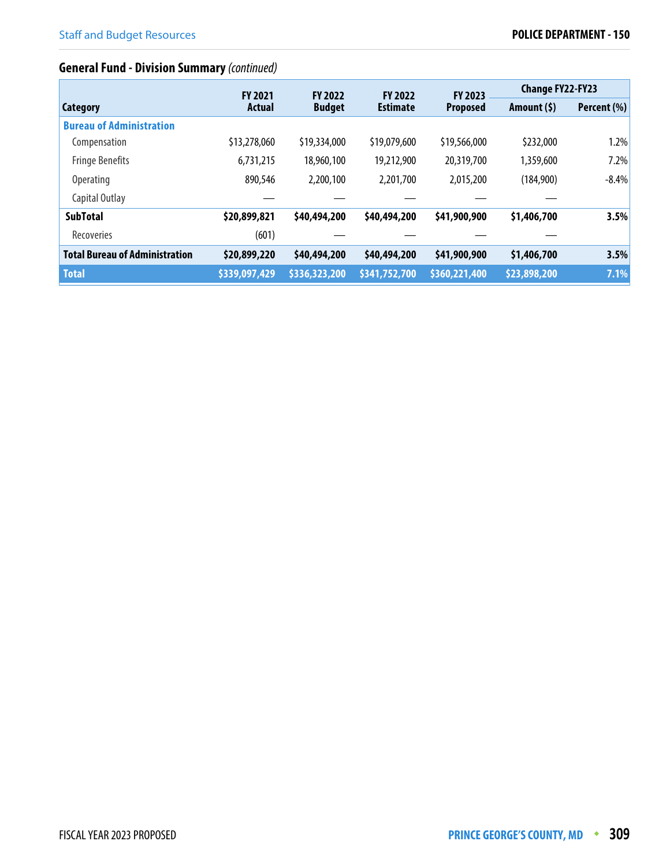# **General Fund - Division Summary** (continued)

|                                       | <b>FY 2021</b> | <b>FY 2022</b> | <b>FY 2022</b>  | <b>FY 2023</b>  | <b>Change FY22-FY23</b> |             |
|---------------------------------------|----------------|----------------|-----------------|-----------------|-------------------------|-------------|
| <b>Category</b>                       | <b>Actual</b>  | <b>Budget</b>  | <b>Estimate</b> | <b>Proposed</b> | Amount (\$)             | Percent (%) |
| <b>Bureau of Administration</b>       |                |                |                 |                 |                         |             |
| Compensation                          | \$13,278,060   | \$19,334,000   | \$19,079,600    | \$19,566,000    | \$232,000               | 1.2%        |
| <b>Fringe Benefits</b>                | 6,731,215      | 18,960,100     | 19,212,900      | 20,319,700      | 1,359,600               | 7.2%        |
| Operating                             | 890,546        | 2,200,100      | 2,201,700       | 2,015,200       | (184,900)               | $-8.4%$     |
| Capital Outlay                        |                |                |                 |                 |                         |             |
| <b>SubTotal</b>                       | \$20,899,821   | \$40,494,200   | \$40,494,200    | \$41,900,900    | \$1,406,700             | 3.5%        |
| Recoveries                            | (601)          |                |                 |                 |                         |             |
| <b>Total Bureau of Administration</b> | \$20,899,220   | \$40,494,200   | \$40,494,200    | \$41,900,900    | \$1,406,700             | 3.5%        |
| <b>Total</b>                          | \$339,097,429  | \$336,323,200  | \$341,752,700   | \$360,221,400   | \$23,898,200            | 7.1%        |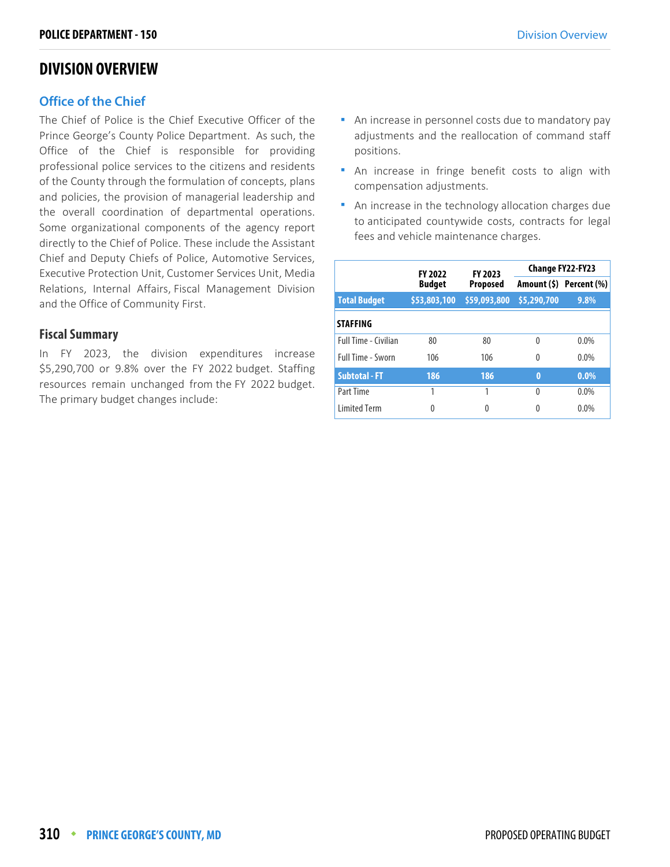# **DIVISION OVERVIEW**

### **Office of the Chief**

The Chief of Police is the Chief Executive Officer of the Prince George's County Police Department. As such, the Office of the Chief is responsible for providing professional police services to the citizens and residents of the County through the formulation of concepts, plans and policies, the provision of managerial leadership and the overall coordination of departmental operations. Some organizational components of the agency report directly to the Chief of Police. These include the Assistant Chief and Deputy Chiefs of Police, Automotive Services, Executive Protection Unit, Customer Services Unit, Media Relations, Internal Affairs, Fiscal Management Division and the Office of Community First.

### **Fiscal Summary**

In FY 2023, the division expenditures increase \$5,290,700 or 9.8% over the FY 2022 budget. Staffing resources remain unchanged from the FY 2022 budget. The primary budget changes include:

- An increase in personnel costs due to mandatory pay adjustments and the reallocation of command staff positions.
- An increase in fringe benefit costs to align with compensation adjustments.
- An increase in the technology allocation charges due to anticipated countywide costs, contracts for legal fees and vehicle maintenance charges.

|                      | FY 2023<br><b>FY 2022</b> |                 | <b>Change FY22-FY23</b> |                         |  |
|----------------------|---------------------------|-----------------|-------------------------|-------------------------|--|
|                      | <b>Budget</b>             | <b>Proposed</b> |                         | Amount (\$) Percent (%) |  |
| <b>Total Budget</b>  | \$53,803,100              | \$59,093,800    | \$5,290,700             | 9.8%                    |  |
| <b>STAFFING</b>      |                           |                 |                         |                         |  |
| Full Time - Civilian | 80                        | 80              | 0                       | 0.0%                    |  |
| Full Time - Sworn    | 106                       | 106             | 0                       | 0.0%                    |  |
| <b>Subtotal - FT</b> | 186                       | 186             | $\bf{0}$                | 0.0%                    |  |
| Part Time            | 1                         | 1               | $\Omega$                | 0.0%                    |  |
| <b>Limited Term</b>  | 0                         | 0               | 0                       | 0.0%                    |  |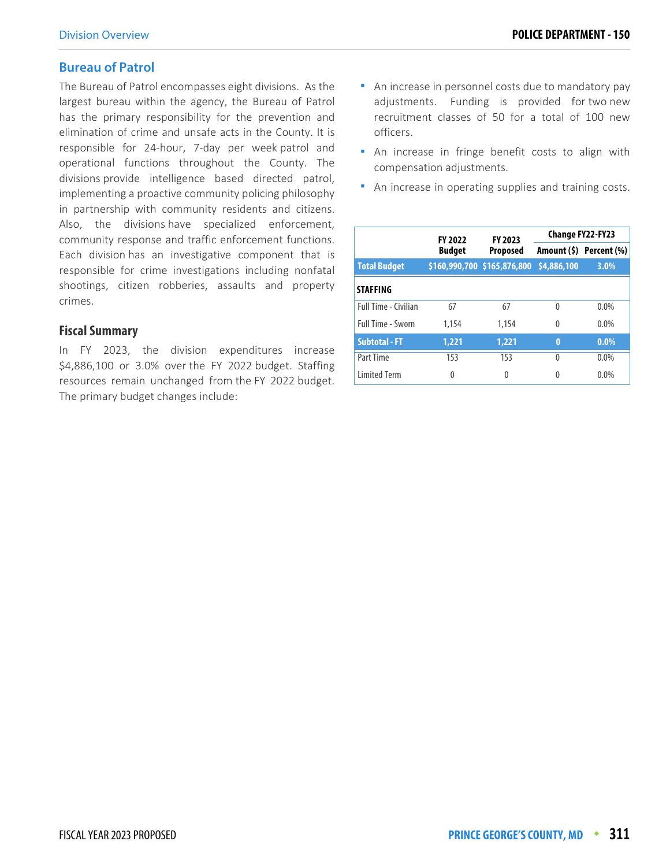### **Bureau of Patrol**

The Bureau of Patrol encompasses eight divisions. As the largest bureau within the agency, the Bureau of Patrol has the primary responsibility for the prevention and elimination of crime and unsafe acts in the County. It is responsible for 24-hour, 7-day per week patrol and operational functions throughout the County. The divisions provide intelligence based directed patrol, implementing a proactive community policing philosophy in partnership with community residents and citizens. Also, the divisions have specialized enforcement, community response and traffic enforcement functions. Each division has an investigative component that is responsible for crime investigations including nonfatal shootings, citizen robberies, assaults and property crimes.

### **Fiscal Summary**

In FY 2023, the division expenditures increase \$4,886,100 or 3.0% over the FY 2022 budget. Staffing resources remain unchanged from the FY 2022 budget. The primary budget changes include:

- **An increase in personnel costs due to mandatory pay** adjustments. Funding is provided for two new recruitment classes of 50 for a total of 100 new officers.
- **An increase in fringe benefit costs to align with** compensation adjustments.
- **An increase in operating supplies and training costs.**

|                             | <b>FY 2022</b> | FY 2023                                 | Change FY22-FY23 |                         |  |
|-----------------------------|----------------|-----------------------------------------|------------------|-------------------------|--|
|                             | <b>Budget</b>  | <b>Proposed</b>                         |                  | Amount (\$) Percent (%) |  |
| <b>Total Budget</b>         |                | \$160,990,700 \$165,876,800 \$4,886,100 |                  | 3.0%                    |  |
| <b>STAFFING</b>             |                |                                         |                  |                         |  |
| <b>Full Time - Civilian</b> | 67             | 67                                      | $\Omega$         | $0.0\%$                 |  |
| <b>Full Time - Sworn</b>    | 1,154          | 1.154                                   | $\Omega$         | $0.0\%$                 |  |
| <b>Subtotal - FT</b>        | 1,221          | 1,221                                   | $\bf{0}$         | $0.0\%$                 |  |
| Part Time                   | 153            | 153                                     | 0                | $0.0\%$                 |  |
| <b>Limited Term</b>         | 0              | 0                                       | Λ                | $0.0\%$                 |  |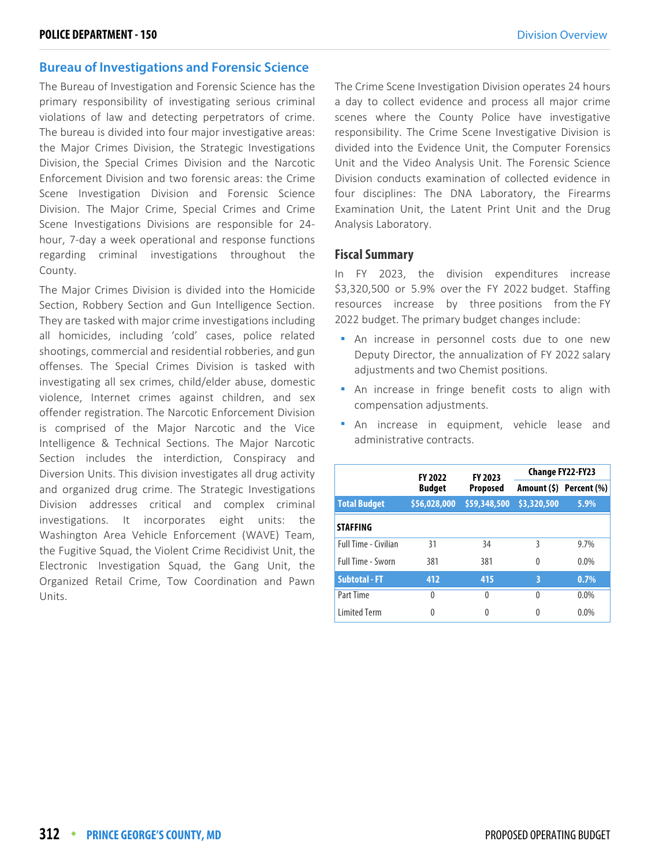### **Bureau of Investigations and Forensic Science**

The Bureau of Investigation and Forensic Science has the primary responsibility of investigating serious criminal violations of law and detecting perpetrators of crime. The bureau is divided into four major investigative areas: the Major Crimes Division, the Strategic Investigations Division, the Special Crimes Division and the Narcotic Enforcement Division and two forensic areas: the Crime Scene Investigation Division and Forensic Science Division. The Major Crime, Special Crimes and Crime Scene Investigations Divisions are responsible for 24 hour, 7-day a week operational and response functions regarding criminal investigations throughout the County.

The Major Crimes Division is divided into the Homicide Section, Robbery Section and Gun Intelligence Section. They are tasked with major crime investigations including all homicides, including 'cold' cases, police related shootings, commercial and residential robberies, and gun offenses. The Special Crimes Division is tasked with investigating all sex crimes, child/elder abuse, domestic violence, Internet crimes against children, and sex offender registration. The Narcotic Enforcement Division is comprised of the Major Narcotic and the Vice Intelligence & Technical Sections. The Major Narcotic Section includes the interdiction, Conspiracy and Diversion Units. This division investigates all drug activity and organized drug crime. The Strategic Investigations Division addresses critical and complex criminal investigations. It incorporates eight units: the Washington Area Vehicle Enforcement (WAVE) Team, the Fugitive Squad, the Violent Crime Recidivist Unit, the Electronic Investigation Squad, the Gang Unit, the Organized Retail Crime, Tow Coordination and Pawn Units.

The Crime Scene Investigation Division operates 24 hours a day to collect evidence and process all major crime scenes where the County Police have investigative responsibility. The Crime Scene Investigative Division is divided into the Evidence Unit, the Computer Forensics Unit and the Video Analysis Unit. The Forensic Science Division conducts examination of collected evidence in four disciplines: The DNA Laboratory, the Firearms Examination Unit, the Latent Print Unit and the Drug Analysis Laboratory.

### **Fiscal Summary**

In FY 2023, the division expenditures increase \$3,320,500 or 5.9% over the FY 2022 budget. Staffing resources increase by three positions from the FY 2022 budget. The primary budget changes include:

- An increase in personnel costs due to one new Deputy Director, the annualization of FY 2022 salary adjustments and two Chemist positions.
- An increase in fringe benefit costs to align with compensation adjustments.
- An increase in equipment, vehicle lease and administrative contracts.

|                      | FY 2023<br><b>FY 2022</b> |                 | <b>Change FY22-FY23</b> |                         |  |
|----------------------|---------------------------|-----------------|-------------------------|-------------------------|--|
|                      | <b>Budget</b>             | <b>Proposed</b> |                         | Amount (\$) Percent (%) |  |
| <b>Total Budget</b>  | \$56,028,000              | \$59,348,500    | \$3,320,500             | $5.9\%$                 |  |
| <b>STAFFING</b>      |                           |                 |                         |                         |  |
| Full Time - Civilian | 31                        | 34              | 3                       | 9.7%                    |  |
| Full Time - Sworn    | 381                       | 381             | $\mathbf{0}$            | $0.0\%$                 |  |
| <b>Subtotal - FT</b> | 412                       | 415             | 3                       | 0.7%                    |  |
| Part Time            | $\Omega$                  | 0               | $\Omega$                | $0.0\%$                 |  |
| <b>Limited Term</b>  | 0                         | 0               | 0                       | $0.0\%$                 |  |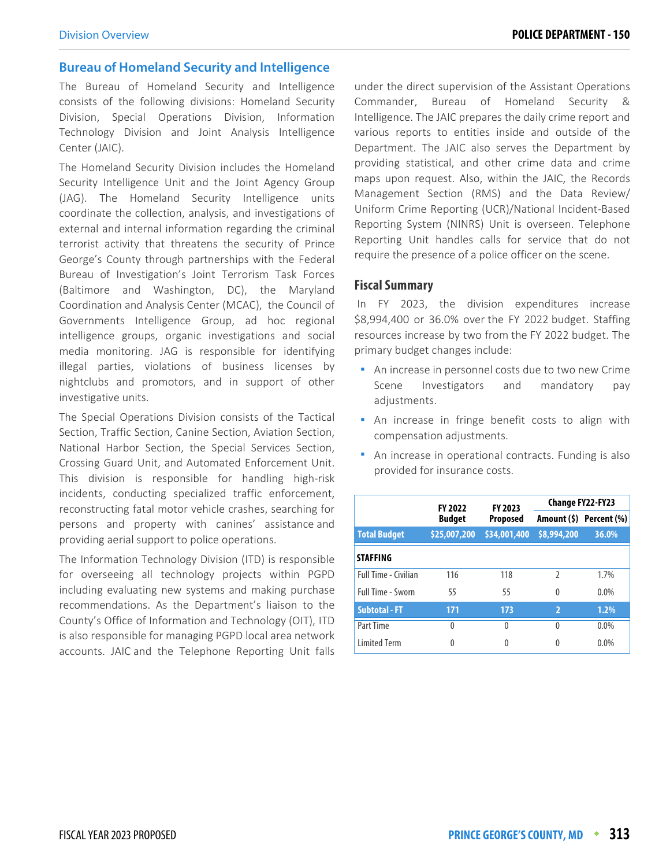### **Bureau of Homeland Security and Intelligence**

The Bureau of Homeland Security and Intelligence consists of the following divisions: Homeland Security Division, Special Operations Division, Information Technology Division and Joint Analysis Intelligence Center (JAIC).

The Homeland Security Division includes the Homeland Security Intelligence Unit and the Joint Agency Group (JAG). The Homeland Security Intelligence units coordinate the collection, analysis, and investigations of external and internal information regarding the criminal terrorist activity that threatens the security of Prince George's County through partnerships with the Federal Bureau of Investigation's Joint Terrorism Task Forces (Baltimore and Washington, DC), the Maryland Coordination and Analysis Center (MCAC), the Council of Governments Intelligence Group, ad hoc regional intelligence groups, organic investigations and social media monitoring. JAG is responsible for identifying illegal parties, violations of business licenses by nightclubs and promotors, and in support of other investigative units.

The Special Operations Division consists of the Tactical Section, Traffic Section, Canine Section, Aviation Section, National Harbor Section, the Special Services Section, Crossing Guard Unit, and Automated Enforcement Unit. This division is responsible for handling high-risk incidents, conducting specialized traffic enforcement, reconstructing fatal motor vehicle crashes, searching for persons and property with canines' assistance and providing aerial support to police operations.

The Information Technology Division (ITD) is responsible for overseeing all technology projects within PGPD including evaluating new systems and making purchase recommendations. As the Department's liaison to the County's Office of Information and Technology (OIT), ITD is also responsible for managing PGPD local area network accounts. JAIC and the Telephone Reporting Unit falls

under the direct supervision of the Assistant Operations Commander, Bureau of Homeland Security & Intelligence. The JAIC prepares the daily crime report and various reports to entities inside and outside of the Department. The JAIC also serves the Department by providing statistical, and other crime data and crime maps upon request. Also, within the JAIC, the Records Management Section (RMS) and the Data Review/ Uniform Crime Reporting (UCR)/National Incident-Based Reporting System (NINRS) Unit is overseen. Telephone Reporting Unit handles calls for service that do not require the presence of a police officer on the scene.

#### **Fiscal Summary**

 In FY 2023, the division expenditures increase \$8,994,400 or 36.0% over the FY 2022 budget. Staffing resources increase by two from the FY 2022 budget. The primary budget changes include:

- An increase in personnel costs due to two new Crime Scene Investigators and mandatory pay adjustments.
- **An increase in fringe benefit costs to align with** compensation adjustments.
- An increase in operational contracts. Funding is also provided for insurance costs.

|                             | <b>FY 2022</b>                   | FY 2023      | Change FY22-FY23 |                         |  |
|-----------------------------|----------------------------------|--------------|------------------|-------------------------|--|
|                             | <b>Budget</b><br><b>Proposed</b> |              |                  | Amount (\$) Percent (%) |  |
| <b>Total Budget</b>         | \$25,007,200                     | \$34,001,400 | \$8,994,200      | 36.0%                   |  |
| <b>STAFFING</b>             |                                  |              |                  |                         |  |
| <b>Full Time - Civilian</b> | 116                              | 118          | $\mathfrak z$    | 1.7%                    |  |
| <b>Full Time - Sworn</b>    | 55                               | 55           | $\Omega$         | $0.0\%$                 |  |
| <b>Subtotal - FT</b>        | 171                              | 173          | $\overline{2}$   | 1.2%                    |  |
| Part Time                   | $\Omega$                         | 0            | $\Omega$         | 0.0%                    |  |
| <b>Limited Term</b>         | 0                                |              | 0                | 0.0%                    |  |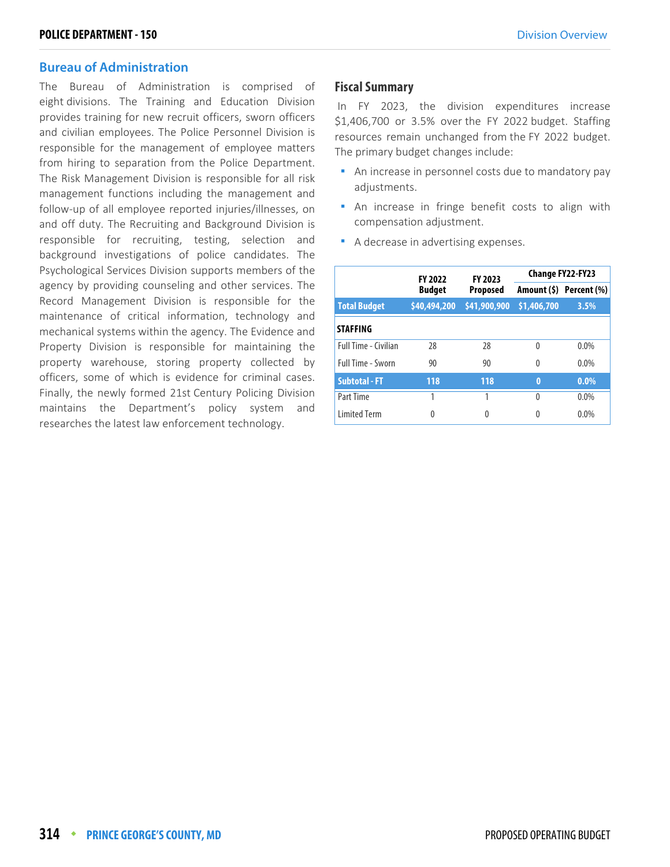### **Bureau of Administration**

The Bureau of Administration is comprised of eight divisions. The Training and Education Division provides training for new recruit officers, sworn officers and civilian employees. The Police Personnel Division is responsible for the management of employee matters from hiring to separation from the Police Department. The Risk Management Division is responsible for all risk management functions including the management and follow-up of all employee reported injuries/illnesses, on and off duty. The Recruiting and Background Division is responsible for recruiting, testing, selection and background investigations of police candidates. The Psychological Services Division supports members of the agency by providing counseling and other services. The Record Management Division is responsible for the maintenance of critical information, technology and mechanical systems within the agency. The Evidence and Property Division is responsible for maintaining the property warehouse, storing property collected by officers, some of which is evidence for criminal cases. Finally, the newly formed 21st Century Policing Division maintains the Department's policy system and researches the latest law enforcement technology.

### **Fiscal Summary**

 In FY 2023, the division expenditures increase \$1,406,700 or 3.5% over the FY 2022 budget. Staffing resources remain unchanged from the FY 2022 budget. The primary budget changes include:

- An increase in personnel costs due to mandatory pay adjustments.
- An increase in fringe benefit costs to align with compensation adjustment.
- A decrease in advertising expenses.

|                          | <b>FY 2022</b>                   | FY 2023      |             | <b>Change FY22-FY23</b> |
|--------------------------|----------------------------------|--------------|-------------|-------------------------|
|                          | <b>Budget</b><br><b>Proposed</b> |              |             | Amount (\$) Percent (%) |
| <b>Total Budget</b>      | \$40,494,200                     | \$41,900,900 | \$1,406,700 | 3.5%                    |
| <b>STAFFING</b>          |                                  |              |             |                         |
| Full Time - Civilian     | 28                               | 28           | $\Omega$    | $0.0\%$                 |
| <b>Full Time - Sworn</b> | 90                               | 90           | $\Omega$    | $0.0\%$                 |
| <b>Subtotal - FT</b>     | 118                              | 118          | $\bf{0}$    | $0.0\%$                 |
| Part Time                | 1                                |              | $\Omega$    | $0.0\%$                 |
| <b>Limited Term</b>      | 0                                | 0            | 0           | $0.0\%$                 |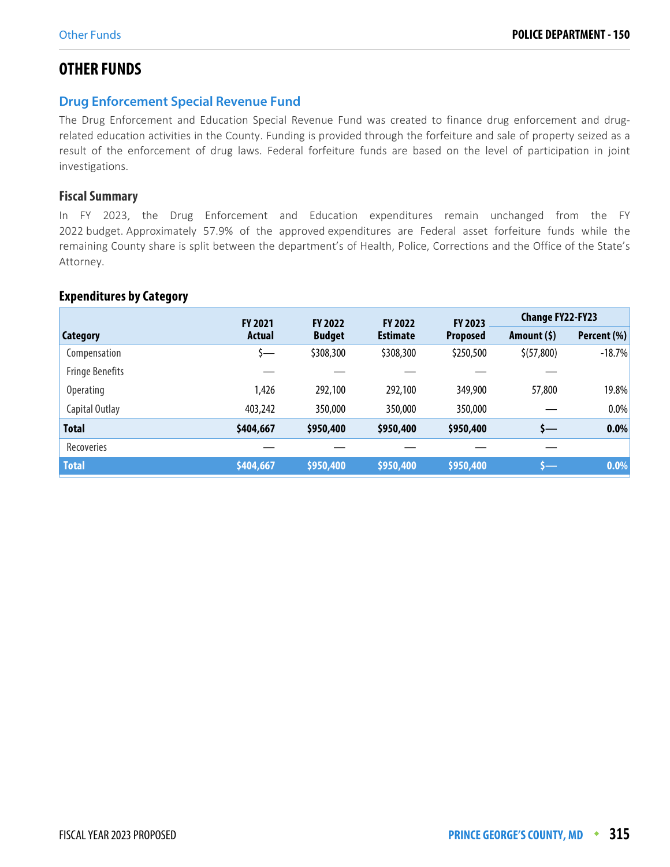# **OTHER FUNDS**

# **Drug Enforcement Special Revenue Fund**

The Drug Enforcement and Education Special Revenue Fund was created to finance drug enforcement and drugrelated education activities in the County. Funding is provided through the forfeiture and sale of property seized as a result of the enforcement of drug laws. Federal forfeiture funds are based on the level of participation in joint investigations.

### **Fiscal Summary**

In FY 2023, the Drug Enforcement and Education expenditures remain unchanged from the FY 2022 budget. Approximately 57.9% of the approved expenditures are Federal asset forfeiture funds while the remaining County share is split between the department's of Health, Police, Corrections and the Office of the State's Attorney.

### **Expenditures by Category**

|                        | <b>FY 2021</b> | <b>FY 2022</b> | <b>FY 2022</b>  | <b>FY 2023</b>  | <b>Change FY22-FY23</b> |             |
|------------------------|----------------|----------------|-----------------|-----------------|-------------------------|-------------|
| Category               | <b>Actual</b>  | <b>Budget</b>  | <b>Estimate</b> | <b>Proposed</b> | Amount $(5)$            | Percent (%) |
| Compensation           | 5—             | \$308,300      | \$308,300       | \$250,500       | \$(57,800)              | $-18.7%$    |
| <b>Fringe Benefits</b> |                |                |                 |                 |                         |             |
| <b>Operating</b>       | 1,426          | 292,100        | 292,100         | 349,900         | 57,800                  | 19.8%       |
| Capital Outlay         | 403,242        | 350,000        | 350,000         | 350,000         |                         | $0.0\%$     |
| <b>Total</b>           | \$404,667      | \$950,400      | \$950,400       | \$950,400       | s—                      | $0.0\%$     |
| Recoveries             |                |                |                 |                 |                         |             |
| <b>Total</b>           | \$404,667      | \$950,400      | \$950,400       | \$950,400       | s—                      | $0.0\%$     |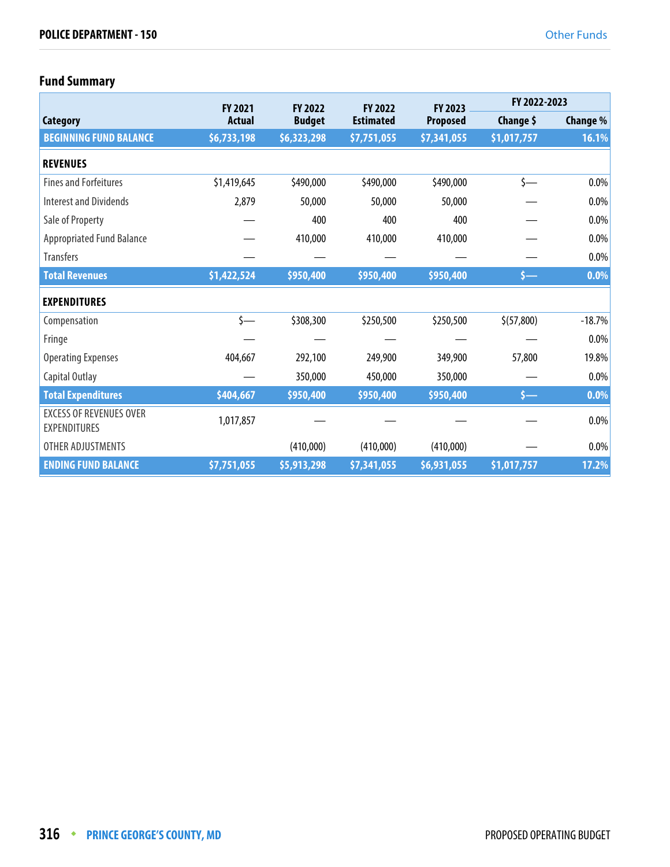# **Fund Summary**

|                                                       | <b>FY 2021</b> | <b>FY 2022</b> | <b>FY 2022</b>   | <b>FY 2023</b>  | FY 2022-2023 |          |
|-------------------------------------------------------|----------------|----------------|------------------|-----------------|--------------|----------|
| Category                                              | <b>Actual</b>  | <b>Budget</b>  | <b>Estimated</b> | <b>Proposed</b> | Change \$    | Change % |
| <b>BEGINNING FUND BALANCE</b>                         | \$6,733,198    | \$6,323,298    | \$7,751,055      | \$7,341,055     | \$1,017,757  | 16.1%    |
| <b>REVENUES</b>                                       |                |                |                  |                 |              |          |
| <b>Fines and Forfeitures</b>                          | \$1,419,645    | \$490,000      | \$490,000        | \$490,000       | $\zeta$ —    | $0.0\%$  |
| <b>Interest and Dividends</b>                         | 2,879          | 50,000         | 50,000           | 50,000          |              | $0.0\%$  |
| Sale of Property                                      |                | 400            | 400              | 400             |              | $0.0\%$  |
| <b>Appropriated Fund Balance</b>                      |                | 410,000        | 410,000          | 410,000         |              | $0.0\%$  |
| <b>Transfers</b>                                      |                |                |                  |                 |              | $0.0\%$  |
| <b>Total Revenues</b>                                 | \$1,422,524    | \$950,400      | \$950,400        | \$950,400       | s—           | $0.0\%$  |
| <b>EXPENDITURES</b>                                   |                |                |                  |                 |              |          |
| Compensation                                          | $\zeta$ —      | \$308,300      | \$250,500        | \$250,500       | \$(57,800)   | $-18.7%$ |
| Fringe                                                |                |                |                  |                 |              | $0.0\%$  |
| <b>Operating Expenses</b>                             | 404,667        | 292,100        | 249,900          | 349,900         | 57,800       | 19.8%    |
| Capital Outlay                                        |                | 350,000        | 450,000          | 350,000         |              | $0.0\%$  |
| <b>Total Expenditures</b>                             | \$404,667      | \$950,400      | \$950,400        | \$950,400       | $s-$         | 0.0%     |
| <b>EXCESS OF REVENUES OVER</b><br><b>EXPENDITURES</b> | 1,017,857      |                |                  |                 |              | $0.0\%$  |
| OTHER ADJUSTMENTS                                     |                | (410,000)      | (410,000)        | (410,000)       |              | $0.0\%$  |
| <b>ENDING FUND BALANCE</b>                            | \$7,751,055    | \$5,913,298    | \$7,341,055      | \$6,931,055     | \$1,017,757  | 17.2%    |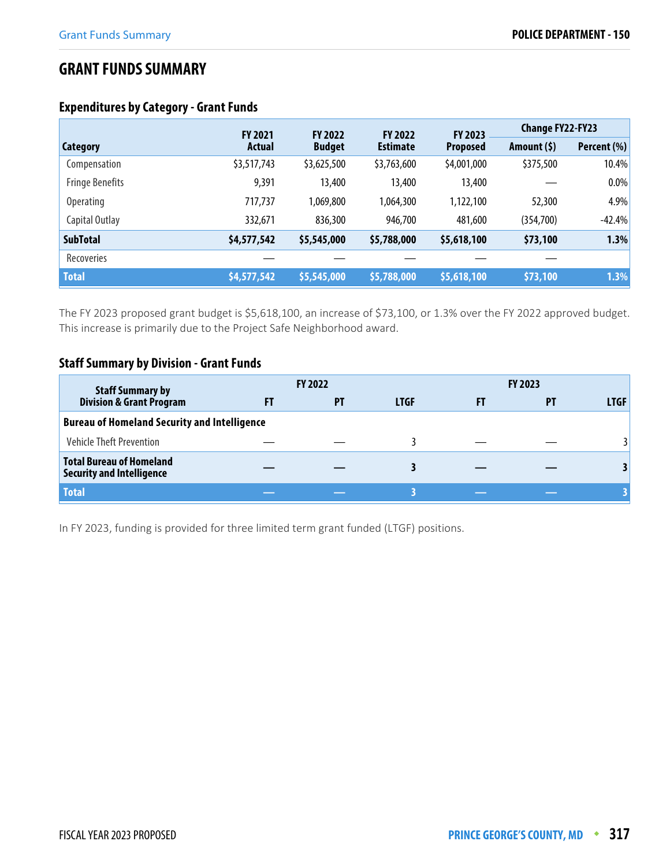# **GRANT FUNDS SUMMARY**

# **Expenditures by Category - Grant Funds**

|                        | <b>FY 2021</b> | <b>FY 2022</b> | <b>FY 2022</b>  | FY 2023         | <b>Change FY22-FY23</b> |             |
|------------------------|----------------|----------------|-----------------|-----------------|-------------------------|-------------|
| <b>Category</b>        | Actual         | <b>Budget</b>  | <b>Estimate</b> | <b>Proposed</b> | Amount (\$)             | Percent (%) |
| Compensation           | \$3,517,743    | \$3,625,500    | \$3,763,600     | \$4,001,000     | \$375,500               | 10.4%       |
| <b>Fringe Benefits</b> | 9,391          | 13,400         | 13,400          | 13,400          |                         | 0.0%        |
| <b>Operating</b>       | 717,737        | 1,069,800      | 1,064,300       | 1,122,100       | 52,300                  | 4.9%        |
| Capital Outlay         | 332,671        | 836,300        | 946,700         | 481,600         | (354,700)               | $-42.4%$    |
| <b>SubTotal</b>        | \$4,577,542    | \$5,545,000    | \$5,788,000     | \$5,618,100     | \$73,100                | 1.3%        |
| Recoveries             |                |                |                 |                 |                         |             |
| <b>Total</b>           | \$4,577,542    | \$5,545,000    | \$5,788,000     | \$5,618,100     | \$73,100                | 1.3%        |

The FY 2023 proposed grant budget is \$5,618,100, an increase of \$73,100, or 1.3% over the FY 2022 approved budget. This increase is primarily due to the Project Safe Neighborhood award.

# **Staff Summary by Division - Grant Funds**

| <b>Staff Summary by</b>                                             | <b>FY 2022</b> |             |    | <b>FY 2023</b> |             |
|---------------------------------------------------------------------|----------------|-------------|----|----------------|-------------|
| <b>Division &amp; Grant Program</b>                                 | PT             | <b>LTGF</b> | FI |                | <b>LTGF</b> |
| <b>Bureau of Homeland Security and Intelligence</b>                 |                |             |    |                |             |
| <b>Vehicle Theft Prevention</b>                                     |                |             |    |                |             |
| <b>Total Bureau of Homeland</b><br><b>Security and Intelligence</b> |                |             |    |                |             |
| <b>Total</b>                                                        |                |             |    |                |             |

In FY 2023, funding is provided for three limited term grant funded (LTGF) positions.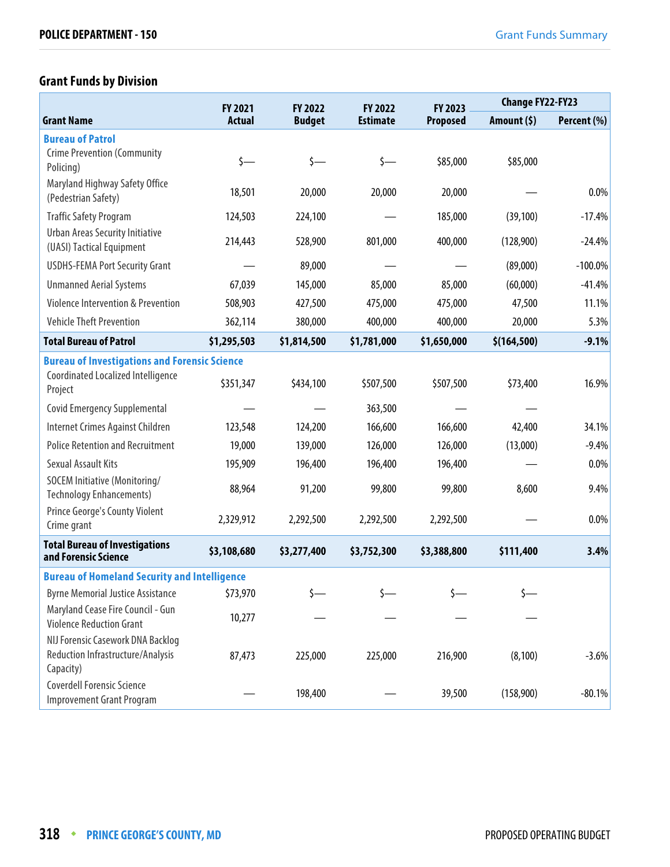# **Grant Funds by Division**

|                                                                       | FY 2021       | FY 2022       | FY 2022         | FY 2023     | <b>Change FY22-FY23</b> |             |
|-----------------------------------------------------------------------|---------------|---------------|-----------------|-------------|-------------------------|-------------|
| <b>Grant Name</b>                                                     | <b>Actual</b> | <b>Budget</b> | <b>Estimate</b> | Proposed    | Amount (\$)             | Percent (%) |
| <b>Bureau of Patrol</b>                                               |               |               |                 |             |                         |             |
| <b>Crime Prevention (Community</b><br>Policing)                       | $\zeta$ —     | $\zeta$ —     | $\zeta$ —       | \$85,000    | \$85,000                |             |
| Maryland Highway Safety Office<br>(Pedestrian Safety)                 | 18,501        | 20,000        | 20,000          | 20,000      |                         | 0.0%        |
| <b>Traffic Safety Program</b>                                         | 124,503       | 224,100       |                 | 185,000     | (39, 100)               | $-17.4%$    |
| <b>Urban Areas Security Initiative</b><br>(UASI) Tactical Equipment   | 214,443       | 528,900       | 801,000         | 400,000     | (128,900)               | $-24.4%$    |
| <b>USDHS-FEMA Port Security Grant</b>                                 |               | 89,000        |                 |             | (89,000)                | $-100.0\%$  |
| <b>Unmanned Aerial Systems</b>                                        | 67,039        | 145,000       | 85,000          | 85,000      | (60,000)                | $-41.4%$    |
| <b>Violence Intervention &amp; Prevention</b>                         | 508,903       | 427,500       | 475,000         | 475,000     | 47,500                  | 11.1%       |
| <b>Vehicle Theft Prevention</b>                                       | 362,114       | 380,000       | 400,000         | 400,000     | 20,000                  | 5.3%        |
| <b>Total Bureau of Patrol</b>                                         | \$1,295,503   | \$1,814,500   | \$1,781,000     | \$1,650,000 | \$(164, 500)            | $-9.1%$     |
| <b>Bureau of Investigations and Forensic Science</b>                  |               |               |                 |             |                         |             |
| Coordinated Localized Intelligence<br>Project                         | \$351,347     | \$434,100     | \$507,500       | \$507,500   | \$73,400                | 16.9%       |
| <b>Covid Emergency Supplemental</b>                                   |               |               | 363,500         |             |                         |             |
| Internet Crimes Against Children                                      | 123,548       | 124,200       | 166,600         | 166,600     | 42,400                  | 34.1%       |
| <b>Police Retention and Recruitment</b>                               | 19,000        | 139,000       | 126,000         | 126,000     | (13,000)                | $-9.4%$     |
| <b>Sexual Assault Kits</b>                                            | 195,909       | 196,400       | 196,400         | 196,400     |                         | $0.0\%$     |
| SOCEM Initiative (Monitoring/<br><b>Technology Enhancements)</b>      | 88,964        | 91,200        | 99,800          | 99,800      | 8,600                   | 9.4%        |
| Prince George's County Violent<br>Crime grant                         | 2,329,912     | 2,292,500     | 2,292,500       | 2,292,500   |                         | 0.0%        |
| <b>Total Bureau of Investigations</b><br>and Forensic Science         | \$3,108,680   | \$3,277,400   | \$3,752,300     | \$3,388,800 | \$111,400               | 3.4%        |
| <b>Bureau of Homeland Security and Intelligence</b>                   |               |               |                 |             |                         |             |
| <b>Byrne Memorial Justice Assistance</b>                              | \$73,970      |               |                 |             |                         |             |
| Maryland Cease Fire Council - Gun<br><b>Violence Reduction Grant</b>  | 10,277        |               |                 |             |                         |             |
| NIJ Forensic Casework DNA Backlog                                     |               |               |                 |             |                         |             |
| Reduction Infrastructure/Analysis<br>Capacity)                        | 87,473        | 225,000       | 225,000         | 216,900     | (8, 100)                | $-3.6%$     |
| <b>Coverdell Forensic Science</b><br><b>Improvement Grant Program</b> |               | 198,400       |                 | 39,500      | (158,900)               | $-80.1%$    |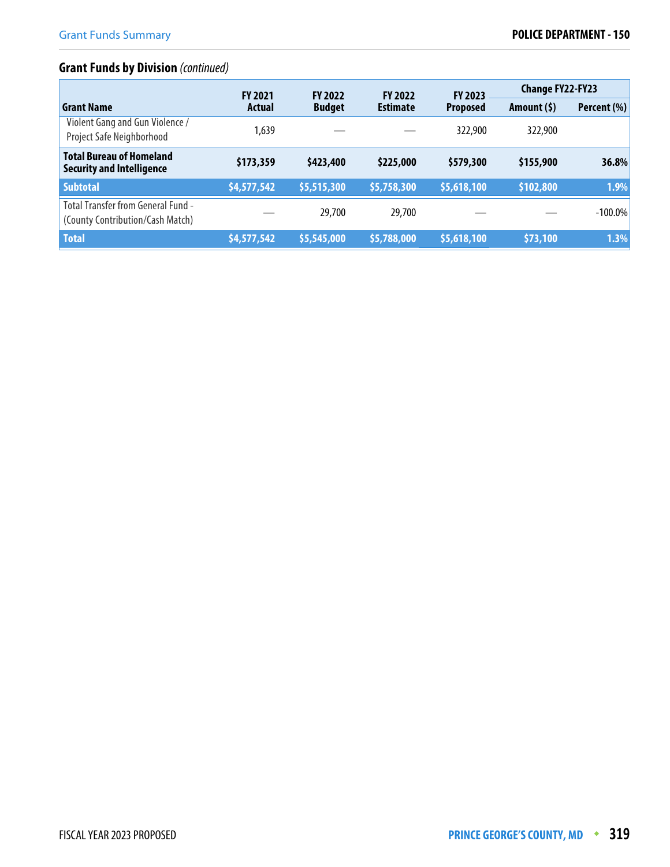# **Grant Funds by Division** (continued)

|                                                                               | <b>FY 2021</b> | <b>FY 2022</b> | <b>FY 2022</b>  | <b>FY 2023</b>  | <b>Change FY22-FY23</b> |             |
|-------------------------------------------------------------------------------|----------------|----------------|-----------------|-----------------|-------------------------|-------------|
| <b>Grant Name</b>                                                             | Actual         | <b>Budget</b>  | <b>Estimate</b> | <b>Proposed</b> | Amount (\$)             | Percent (%) |
| Violent Gang and Gun Violence /<br>Project Safe Neighborhood                  | 1,639          |                |                 | 322,900         | 322,900                 |             |
| <b>Total Bureau of Homeland</b><br><b>Security and Intelligence</b>           | \$173,359      | \$423,400      | \$225,000       | \$579,300       | \$155,900               | 36.8%       |
| <b>Subtotal</b>                                                               | \$4,577,542    | \$5,515,300    | \$5,758,300     | \$5,618,100     | \$102,800               | 1.9%        |
| <b>Total Transfer from General Fund -</b><br>(County Contribution/Cash Match) |                | 29,700         | 29,700          |                 |                         | $-100.0\%$  |
| <b>Total</b>                                                                  | \$4,577,542    | \$5,545,000    | \$5,788,000     | \$5,618,100     | \$73,100                | 1.3%        |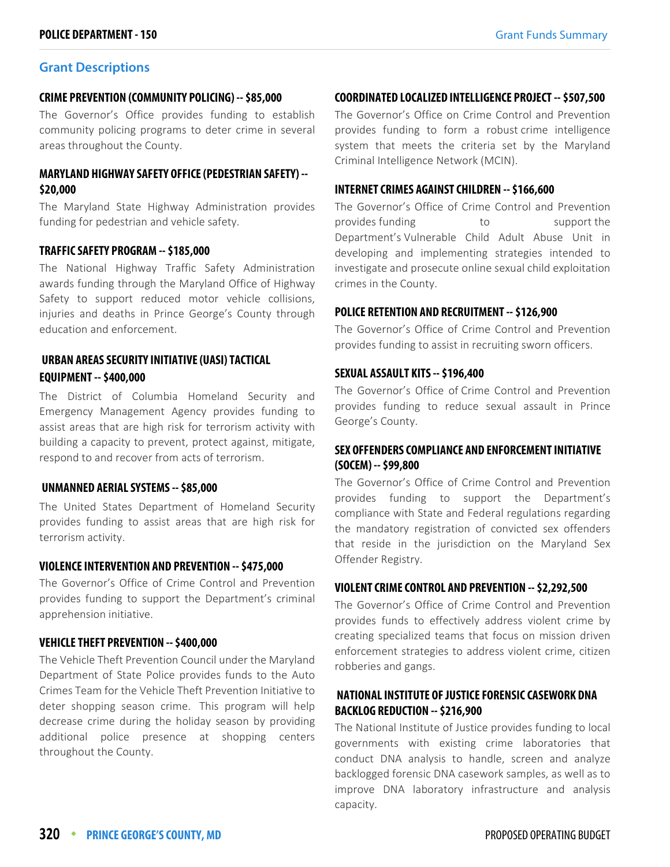#### **CRIME PREVENTION (COMMUNITY POLICING) -- \$85,000**

The Governor's Office provides funding to establish community policing programs to deter crime in several areas throughout the County.

### **MARYLAND HIGHWAY SAFETY OFFICE (PEDESTRIAN SAFETY) -- \$20,000**

The Maryland State Highway Administration provides funding for pedestrian and vehicle safety.

#### **TRAFFIC SAFETY PROGRAM -- \$185,000**

The National Highway Traffic Safety Administration awards funding through the Maryland Office of Highway Safety to support reduced motor vehicle collisions, injuries and deaths in Prince George's County through education and enforcement.

### **URBAN AREAS SECURITY INITIATIVE (UASI) TACTICAL EQUIPMENT -- \$400,000**

The District of Columbia Homeland Security and Emergency Management Agency provides funding to assist areas that are high risk for terrorism activity with building a capacity to prevent, protect against, mitigate, respond to and recover from acts of terrorism.

### **UNMANNED AERIAL SYSTEMS -- \$85,000**

The United States Department of Homeland Security provides funding to assist areas that are high risk for terrorism activity.

#### **VIOLENCE INTERVENTION AND PREVENTION -- \$475,000**

The Governor's Office of Crime Control and Prevention provides funding to support the Department's criminal apprehension initiative.

### **VEHICLE THEFT PREVENTION -- \$400,000**

The Vehicle Theft Prevention Council under the Maryland Department of State Police provides funds to the Auto Crimes Team for the Vehicle Theft Prevention Initiative to deter shopping season crime. This program will help decrease crime during the holiday season by providing additional police presence at shopping centers throughout the County.

#### **COORDINATED LOCALIZED INTELLIGENCE PROJECT -- \$507,500**

The Governor's Office on Crime Control and Prevention provides funding to form a robust crime intelligence system that meets the criteria set by the Maryland Criminal Intelligence Network (MCIN).

#### **INTERNET CRIMES AGAINST CHILDREN -- \$166,600**

The Governor's Office of Crime Control and Prevention provides funding to the support the Department's Vulnerable Child Adult Abuse Unit in developing and implementing strategies intended to investigate and prosecute online sexual child exploitation crimes in the County.

#### **POLICE RETENTION AND RECRUITMENT -- \$126,900**

The Governor's Office of Crime Control and Prevention provides funding to assist in recruiting sworn officers.

#### **SEXUAL ASSAULT KITS -- \$196,400**

The Governor's Office of Crime Control and Prevention provides funding to reduce sexual assault in Prince George's County.

### **SEX OFFENDERS COMPLIANCE AND ENFORCEMENT INITIATIVE (SOCEM) -- \$99,800**

The Governor's Office of Crime Control and Prevention provides funding to support the Department's compliance with State and Federal regulations regarding the mandatory registration of convicted sex offenders that reside in the jurisdiction on the Maryland Sex Offender Registry.

#### **VIOLENT CRIME CONTROL AND PREVENTION -- \$2,292,500**

The Governor's Office of Crime Control and Prevention provides funds to effectively address violent crime by creating specialized teams that focus on mission driven enforcement strategies to address violent crime, citizen robberies and gangs.

# **NATIONAL INSTITUTE OF JUSTICE FORENSIC CASEWORK DNA BACKLOG REDUCTION -- \$216,900**

The National Institute of Justice provides funding to local governments with existing crime laboratories that conduct DNA analysis to handle, screen and analyze backlogged forensic DNA casework samples, as well as to improve DNA laboratory infrastructure and analysis capacity.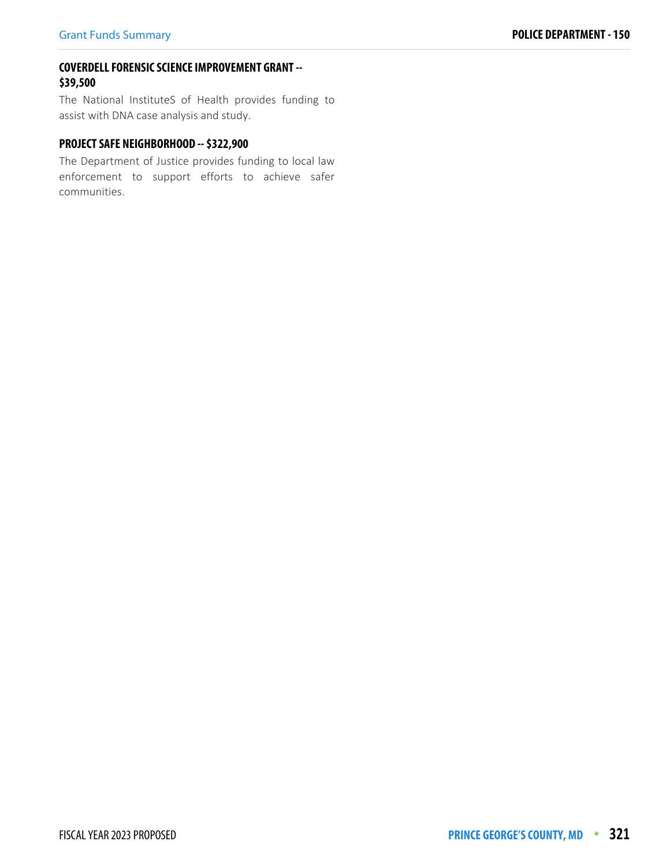### **COVERDELL FORENSIC SCIENCE IMPROVEMENT GRANT -- \$39,500**

The National InstituteS of Health provides funding to assist with DNA case analysis and study.

# **PROJECT SAFE NEIGHBORHOOD -- \$322,900**

The Department of Justice provides funding to local law enforcement to support efforts to achieve safer communities.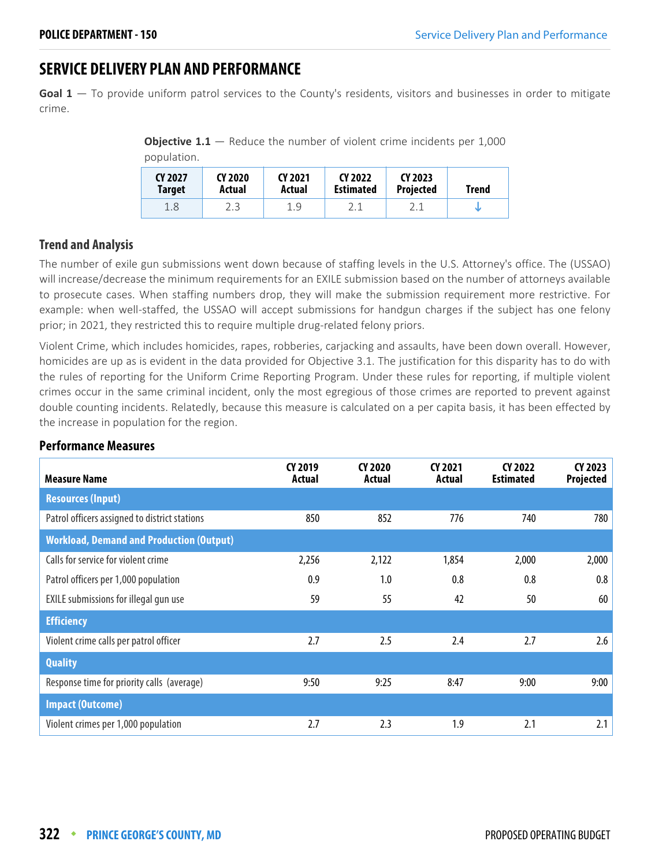# **SERVICE DELIVERY PLAN AND PERFORMANCE**

**Goal 1** — To provide uniform patrol services to the County's residents, visitors and businesses in order to mitigate crime.

**Objective 1.1** – Reduce the number of violent crime incidents per 1,000 population.

| CY 2027<br><b>Target</b> | CY 2020<br>Actual | CY 2021<br>Actual | CY 2022<br><b>Estimated</b> | CY 2023<br><b>Projected</b> | <b>Trend</b> |
|--------------------------|-------------------|-------------------|-----------------------------|-----------------------------|--------------|
| 1.8                      |                   | 1.9               |                             |                             |              |

### **Trend and Analysis**

The number of exile gun submissions went down because of staffing levels in the U.S. Attorney's office. The (USSAO) will increase/decrease the minimum requirements for an EXILE submission based on the number of attorneys available to prosecute cases. When staffing numbers drop, they will make the submission requirement more restrictive. For example: when well-staffed, the USSAO will accept submissions for handgun charges if the subject has one felony prior; in 2021, they restricted this to require multiple drug-related felony priors.

Violent Crime, which includes homicides, rapes, robberies, carjacking and assaults, have been down overall. However, homicides are up as is evident in the data provided for Objective 3.1. The justification for this disparity has to do with the rules of reporting for the Uniform Crime Reporting Program. Under these rules for reporting, if multiple violent crimes occur in the same criminal incident, only the most egregious of those crimes are reported to prevent against double counting incidents. Relatedly, because this measure is calculated on a per capita basis, it has been effected by the increase in population for the region.

| <b>Measure Name</b>                             | CY 2019<br>Actual | CY 2020<br>Actual | CY 2021<br>Actual | CY 2022<br><b>Estimated</b> | CY 2023<br>Projected |
|-------------------------------------------------|-------------------|-------------------|-------------------|-----------------------------|----------------------|
| <b>Resources (Input)</b>                        |                   |                   |                   |                             |                      |
| Patrol officers assigned to district stations   | 850               | 852               | 776               | 740                         | 780                  |
| <b>Workload, Demand and Production (Output)</b> |                   |                   |                   |                             |                      |
| Calls for service for violent crime             | 2,256             | 2,122             | 1,854             | 2,000                       | 2,000                |
| Patrol officers per 1,000 population            | 0.9               | 1.0               | 0.8               | 0.8                         | 0.8                  |
| EXILE submissions for illegal gun use           | 59                | 55                | 42                | 50                          | 60                   |
| <b>Efficiency</b>                               |                   |                   |                   |                             |                      |
| Violent crime calls per patrol officer          | 2.7               | 2.5               | 2.4               | 2.7                         | 2.6                  |
| <b>Quality</b>                                  |                   |                   |                   |                             |                      |
| Response time for priority calls (average)      | 9:50              | 9:25              | 8:47              | 9:00                        | 9:00                 |
| <b>Impact (Outcome)</b>                         |                   |                   |                   |                             |                      |
| Violent crimes per 1,000 population             | 2.7               | 2.3               | 1.9               | 2.1                         | 2.1                  |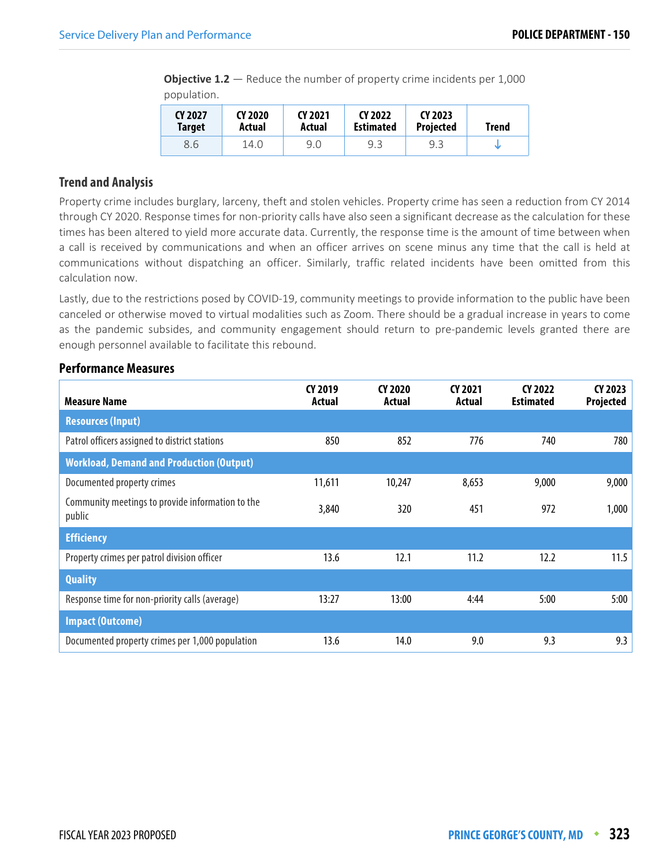**Objective 1.2** – Reduce the number of property crime incidents per 1,000 population.

| CY 2027       | CY 2020 | CY 2021 | CY 2022          | CY 2023          | <b>Trend</b> |
|---------------|---------|---------|------------------|------------------|--------------|
| <b>Target</b> | Actual  | Actual  | <b>Estimated</b> | <b>Projected</b> |              |
| 8.6           | 14.0    | 9.0     | 9.3              | 9.3              |              |

### **Trend and Analysis**

Property crime includes burglary, larceny, theft and stolen vehicles. Property crime has seen a reduction from CY 2014 through CY 2020. Response times for non-priority calls have also seen a significant decrease as the calculation for these times has been altered to yield more accurate data. Currently, the response time is the amount of time between when a call is received by communications and when an officer arrives on scene minus any time that the call is held at communications without dispatching an officer. Similarly, traffic related incidents have been omitted from this calculation now.

Lastly, due to the restrictions posed by COVID-19, community meetings to provide information to the public have been canceled or otherwise moved to virtual modalities such as Zoom. There should be a gradual increase in years to come as the pandemic subsides, and community engagement should return to pre-pandemic levels granted there are enough personnel available to facilitate this rebound.

| <b>Measure Name</b>                                        | CY 2019<br>Actual | CY 2020<br>Actual | CY 2021<br>Actual | CY 2022<br><b>Estimated</b> | CY 2023<br>Projected |
|------------------------------------------------------------|-------------------|-------------------|-------------------|-----------------------------|----------------------|
| <b>Resources (Input)</b>                                   |                   |                   |                   |                             |                      |
| Patrol officers assigned to district stations              | 850               | 852               | 776               | 740                         | 780                  |
| <b>Workload, Demand and Production (Output)</b>            |                   |                   |                   |                             |                      |
| Documented property crimes                                 | 11,611            | 10,247            | 8,653             | 9,000                       | 9,000                |
| Community meetings to provide information to the<br>public | 3,840             | 320               | 451               | 972                         | 1,000                |
| <b>Efficiency</b>                                          |                   |                   |                   |                             |                      |
| Property crimes per patrol division officer                | 13.6              | 12.1              | 11.2              | 12.2                        | 11.5                 |
| <b>Quality</b>                                             |                   |                   |                   |                             |                      |
| Response time for non-priority calls (average)             | 13:27             | 13:00             | 4:44              | 5:00                        | 5:00                 |
| <b>Impact (Outcome)</b>                                    |                   |                   |                   |                             |                      |
| Documented property crimes per 1,000 population            | 13.6              | 14.0              | 9.0               | 9.3                         | 9.3                  |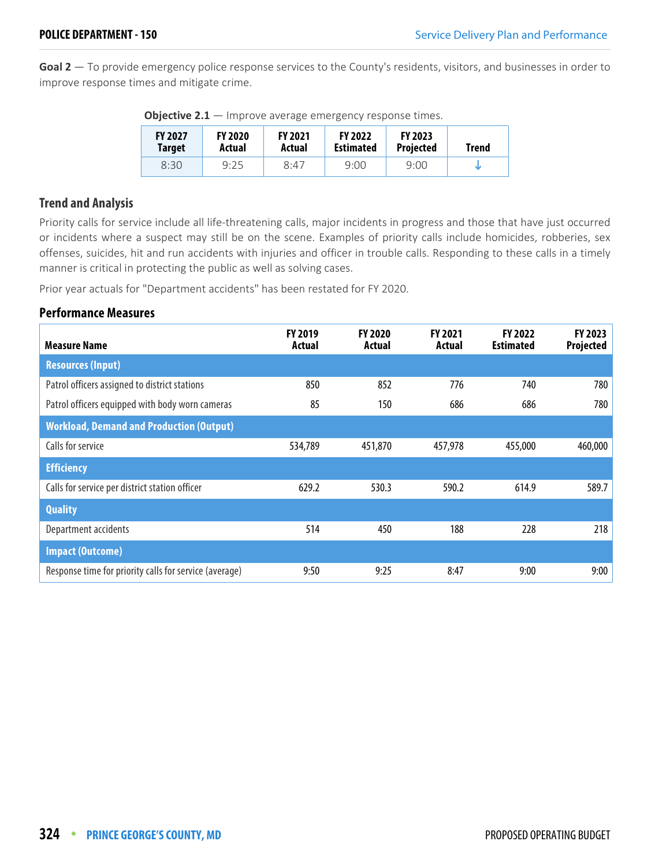**Goal 2** — To provide emergency police response services to the County's residents, visitors, and businesses in order to improve response times and mitigate crime.

| <b>FY 2027</b><br>Target | <b>FY 2020</b><br>Actual | <b>FY 2021</b><br>Actual | <b>FY 2022</b><br><b>Estimated</b> | <b>FY 2023</b><br><b>Projected</b> | Trend |
|--------------------------|--------------------------|--------------------------|------------------------------------|------------------------------------|-------|
| 8:30                     | 9:25                     | 8:47                     | 9:00                               | 9:00                               |       |

**Objective 2.1** — Improve average emergency response times.

### **Trend and Analysis**

Priority calls for service include all life-threatening calls, major incidents in progress and those that have just occurred or incidents where a suspect may still be on the scene. Examples of priority calls include homicides, robberies, sex offenses, suicides, hit and run accidents with injuries and officer in trouble calls. Responding to these calls in a timely manner is critical in protecting the public as well as solving cases.

Prior year actuals for "Department accidents" has been restated for FY 2020.

| <b>Measure Name</b>                                    | FY 2019<br>Actual | <b>FY 2020</b><br>Actual | FY 2021<br>Actual | FY 2022<br><b>Estimated</b> | FY 2023<br><b>Projected</b> |
|--------------------------------------------------------|-------------------|--------------------------|-------------------|-----------------------------|-----------------------------|
| <b>Resources (Input)</b>                               |                   |                          |                   |                             |                             |
| Patrol officers assigned to district stations          | 850               | 852                      | 776               | 740                         | 780                         |
| Patrol officers equipped with body worn cameras        | 85                | 150                      | 686               | 686                         | 780                         |
| <b>Workload, Demand and Production (Output)</b>        |                   |                          |                   |                             |                             |
| Calls for service                                      | 534,789           | 451,870                  | 457,978           | 455,000                     | 460,000                     |
| <b>Efficiency</b>                                      |                   |                          |                   |                             |                             |
| Calls for service per district station officer         | 629.2             | 530.3                    | 590.2             | 614.9                       | 589.7                       |
| <b>Quality</b>                                         |                   |                          |                   |                             |                             |
| Department accidents                                   | 514               | 450                      | 188               | 228                         | 218                         |
| <b>Impact (Outcome)</b>                                |                   |                          |                   |                             |                             |
| Response time for priority calls for service (average) | 9:50              | 9:25                     | 8:47              | 9:00                        | 9:00                        |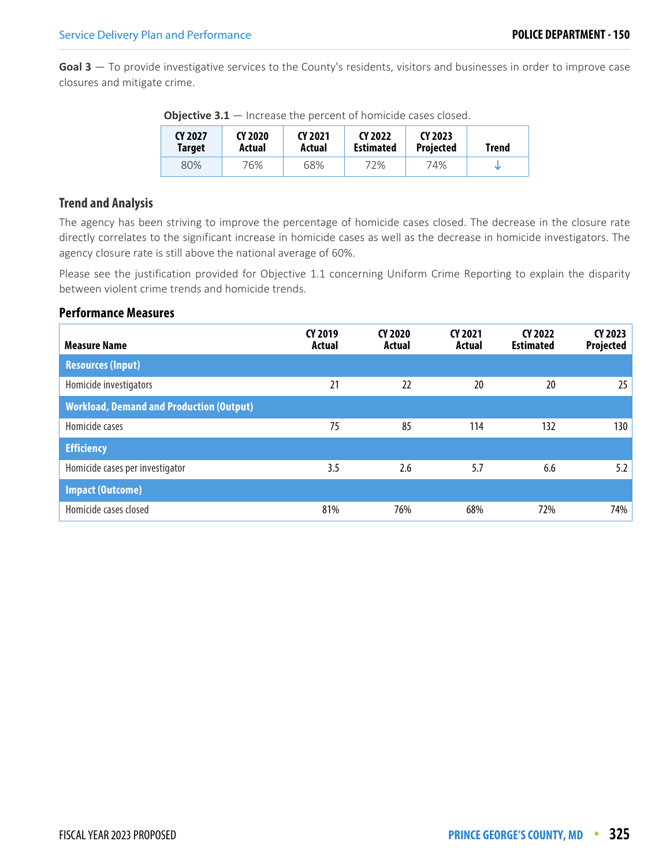**Goal 3** — To provide investigative services to the County's residents, visitors and businesses in order to improve case closures and mitigate crime.

| CY 2027 | CY 2020 | CY 2021 | CY 2022          |     | Trend |  |
|---------|---------|---------|------------------|-----|-------|--|
| Target  | Actual  | Actual  | <b>Estimated</b> |     |       |  |
| 80%     | 76%     | 68%     | 72%              | 74% |       |  |

**Objective 3.1** — Increase the percent of homicide cases closed.

### **Trend and Analysis**

The agency has been striving to improve the percentage of homicide cases closed. The decrease in the closure rate directly correlates to the significant increase in homicide cases as well as the decrease in homicide investigators. The agency closure rate is still above the national average of 60%.

Please see the justification provided for Objective 1.1 concerning Uniform Crime Reporting to explain the disparity between violent crime trends and homicide trends.

| <b>Measure Name</b>                             | CY 2019<br>Actual | CY 2020<br>Actual | CY 2021<br>Actual | CY 2022<br><b>Estimated</b> | CY 2023<br>Projected |
|-------------------------------------------------|-------------------|-------------------|-------------------|-----------------------------|----------------------|
| <b>Resources (Input)</b>                        |                   |                   |                   |                             |                      |
| Homicide investigators                          | 21                | 22                | 20                | 20                          | 25                   |
| <b>Workload, Demand and Production (Output)</b> |                   |                   |                   |                             |                      |
| Homicide cases                                  | 75                | 85                | 114               | 132                         | 130                  |
| <b>Efficiency</b>                               |                   |                   |                   |                             |                      |
| Homicide cases per investigator                 | 3.5               | 2.6               | 5.7               | 6.6                         | 5.2                  |
| <b>Impact (Outcome)</b>                         |                   |                   |                   |                             |                      |
| Homicide cases closed                           | 81%               | 76%               | 68%               | 72%                         | 74%                  |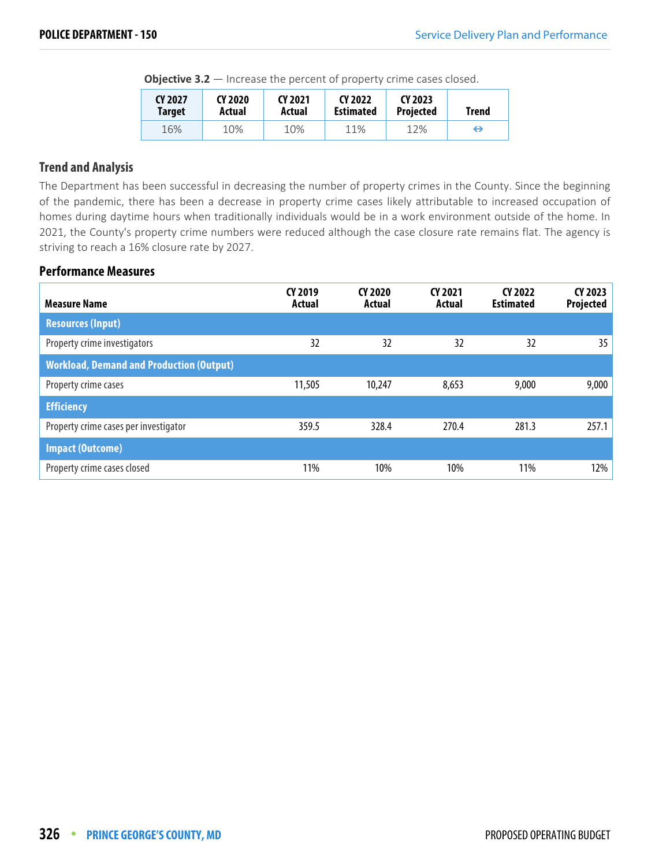**Objective 3.2** – Increase the percent of property crime cases closed.

| CY 2027       | CY 2020 | CY 2021 | CY 2022          | CY 2023   | Trend |  |
|---------------|---------|---------|------------------|-----------|-------|--|
| <b>Target</b> | Actual  | Actual  | <b>Estimated</b> | Projected |       |  |
| 16%           | 10%     | 10%     | 11%              | 12%       | ⊖     |  |

### **Trend and Analysis**

The Department has been successful in decreasing the number of property crimes in the County. Since the beginning of the pandemic, there has been a decrease in property crime cases likely attributable to increased occupation of homes during daytime hours when traditionally individuals would be in a work environment outside of the home. In 2021, the County's property crime numbers were reduced although the case closure rate remains flat. The agency is striving to reach a 16% closure rate by 2027.

| <b>Measure Name</b>                             | CY 2019<br><b>Actual</b> | CY 2020<br>Actual | CY 2021<br>Actual | CY 2022<br><b>Estimated</b> | CY 2023<br>Projected |
|-------------------------------------------------|--------------------------|-------------------|-------------------|-----------------------------|----------------------|
| <b>Resources (Input)</b>                        |                          |                   |                   |                             |                      |
| Property crime investigators                    | 32                       | 32                | 32                | 32                          | 35 <sub>2</sub>      |
| <b>Workload, Demand and Production (Output)</b> |                          |                   |                   |                             |                      |
| Property crime cases                            | 11,505                   | 10,247            | 8,653             | 9,000                       | 9,000                |
| <b>Efficiency</b>                               |                          |                   |                   |                             |                      |
| Property crime cases per investigator           | 359.5                    | 328.4             | 270.4             | 281.3                       | 257.1                |
| <b>Impact (Outcome)</b>                         |                          |                   |                   |                             |                      |
| Property crime cases closed                     | 11%                      | 10%               | 10%               | 11%                         | 12%                  |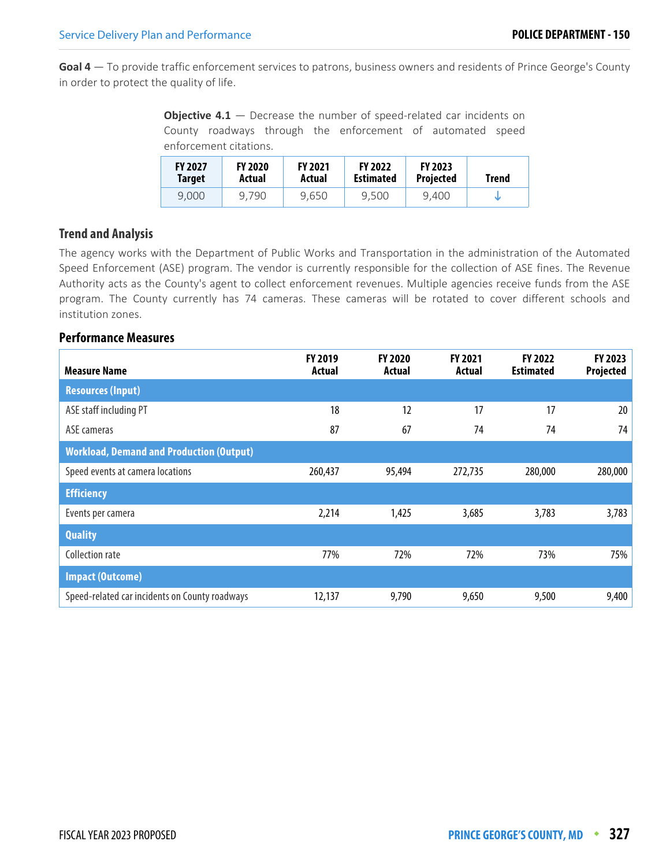**Goal 4** — To provide traffic enforcement services to patrons, business owners and residents of Prince George's County in order to protect the quality of life.

| <b>Objective 4.1</b> $-$ Decrease the number of speed-related car incidents on |  |  |  |                                                            |  |  |  |  |  |
|--------------------------------------------------------------------------------|--|--|--|------------------------------------------------------------|--|--|--|--|--|
|                                                                                |  |  |  | County roadways through the enforcement of automated speed |  |  |  |  |  |
| enforcement citations.                                                         |  |  |  |                                                            |  |  |  |  |  |

| <b>FY 2027</b><br>Target | <b>FY 2020</b><br>Actual | <b>FY 2021</b><br>Actual | <b>FY 2022</b><br><b>Estimated</b> | <b>FY 2023</b><br><b>Projected</b> | Trend |
|--------------------------|--------------------------|--------------------------|------------------------------------|------------------------------------|-------|
| 9.000                    | 9.790                    | 9.650                    | 9.500                              | 9,400                              |       |

### **Trend and Analysis**

The agency works with the Department of Public Works and Transportation in the administration of the Automated Speed Enforcement (ASE) program. The vendor is currently responsible for the collection of ASE fines. The Revenue Authority acts as the County's agent to collect enforcement revenues. Multiple agencies receive funds from the ASE program. The County currently has 74 cameras. These cameras will be rotated to cover different schools and institution zones.

| <b>Measure Name</b>                             | <b>FY 2019</b><br>Actual | <b>FY 2020</b><br>Actual | <b>FY 2021</b><br>Actual | <b>FY 2022</b><br><b>Estimated</b> | FY 2023<br><b>Projected</b> |
|-------------------------------------------------|--------------------------|--------------------------|--------------------------|------------------------------------|-----------------------------|
| <b>Resources (Input)</b>                        |                          |                          |                          |                                    |                             |
| ASE staff including PT                          | 18                       | 12                       | 17                       | 17                                 | 20                          |
| ASE cameras                                     | 87                       | 67                       | 74                       | 74                                 | 74                          |
| <b>Workload, Demand and Production (Output)</b> |                          |                          |                          |                                    |                             |
| Speed events at camera locations                | 260,437                  | 95,494                   | 272,735                  | 280,000                            | 280,000                     |
| <b>Efficiency</b>                               |                          |                          |                          |                                    |                             |
| Events per camera                               | 2,214                    | 1,425                    | 3,685                    | 3,783                              | 3,783                       |
| <b>Quality</b>                                  |                          |                          |                          |                                    |                             |
| Collection rate                                 | 77%                      | 72%                      | 72%                      | 73%                                | 75%                         |
| <b>Impact (Outcome)</b>                         |                          |                          |                          |                                    |                             |
| Speed-related car incidents on County roadways  | 12,137                   | 9,790                    | 9,650                    | 9,500                              | 9,400                       |